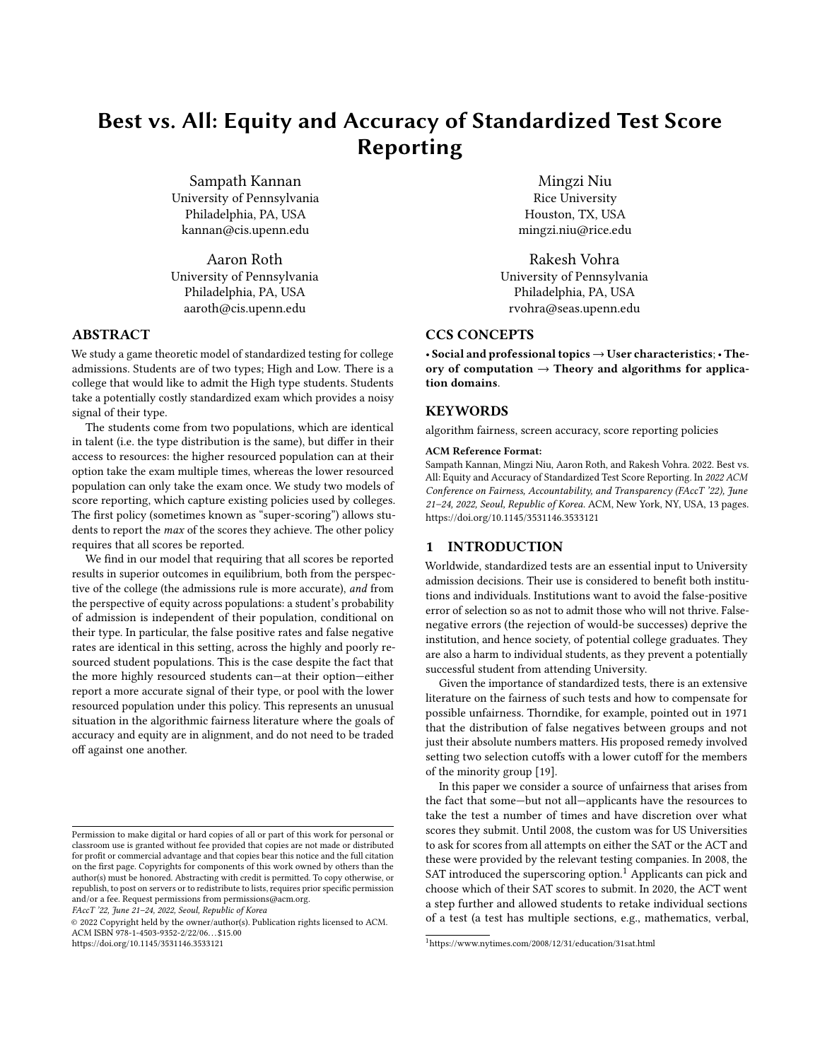# Best vs. All: Equity and Accuracy of Standardized Test Score Reporting

Sampath Kannan University of Pennsylvania Philadelphia, PA, USA kannan@cis.upenn.edu

Aaron Roth University of Pennsylvania Philadelphia, PA, USA aaroth@cis.upenn.edu

# ABSTRACT

We study a game theoretic model of standardized testing for college admissions. Students are of two types; High and Low. There is a college that would like to admit the High type students. Students take a potentially costly standardized exam which provides a noisy signal of their type.

The students come from two populations, which are identical in talent (i.e. the type distribution is the same), but differ in their access to resources: the higher resourced population can at their option take the exam multiple times, whereas the lower resourced population can only take the exam once. We study two models of score reporting, which capture existing policies used by colleges. The first policy (sometimes known as "super-scoring") allows students to report the max of the scores they achieve. The other policy requires that all scores be reported.

We find in our model that requiring that all scores be reported results in superior outcomes in equilibrium, both from the perspective of the college (the admissions rule is more accurate), and from the perspective of equity across populations: a student's probability of admission is independent of their population, conditional on their type. In particular, the false positive rates and false negative rates are identical in this setting, across the highly and poorly resourced student populations. This is the case despite the fact that the more highly resourced students can—at their option—either report a more accurate signal of their type, or pool with the lower resourced population under this policy. This represents an unusual situation in the algorithmic fairness literature where the goals of accuracy and equity are in alignment, and do not need to be traded off against one another.

FAccT '22, June 21–24, 2022, Seoul, Republic of Korea

© 2022 Copyright held by the owner/author(s). Publication rights licensed to ACM. ACM ISBN 978-1-4503-9352-2/22/06. . . \$15.00 <https://doi.org/10.1145/3531146.3533121>

Mingzi Niu Rice University Houston, TX, USA mingzi.niu@rice.edu

Rakesh Vohra University of Pennsylvania Philadelphia, PA, USA rvohra@seas.upenn.edu

# CCS CONCEPTS

• Social and professional topics  $\rightarrow$  User characteristics; • Theory of computation  $\rightarrow$  Theory and algorithms for application domains.

# **KEYWORDS**

algorithm fairness, screen accuracy, score reporting policies

#### ACM Reference Format:

Sampath Kannan, Mingzi Niu, Aaron Roth, and Rakesh Vohra. 2022. Best vs. All: Equity and Accuracy of Standardized Test Score Reporting. In 2022 ACM Conference on Fairness, Accountability, and Transparency (FAccT '22), June 21–24, 2022, Seoul, Republic of Korea. ACM, New York, NY, USA, [13](#page-12-0) pages. <https://doi.org/10.1145/3531146.3533121>

## 1 INTRODUCTION

Worldwide, standardized tests are an essential input to University admission decisions. Their use is considered to benefit both institutions and individuals. Institutions want to avoid the false-positive error of selection so as not to admit those who will not thrive. Falsenegative errors (the rejection of would-be successes) deprive the institution, and hence society, of potential college graduates. They are also a harm to individual students, as they prevent a potentially successful student from attending University.

Given the importance of standardized tests, there is an extensive literature on the fairness of such tests and how to compensate for possible unfairness. Thorndike, for example, pointed out in 1971 that the distribution of false negatives between groups and not just their absolute numbers matters. His proposed remedy involved setting two selection cutoffs with a lower cutoff for the members of the minority group [\[19\]](#page-9-0).

In this paper we consider a source of unfairness that arises from the fact that some—but not all—applicants have the resources to take the test a number of times and have discretion over what scores they submit. Until 2008, the custom was for US Universities to ask for scores from all attempts on either the SAT or the ACT and these were provided by the relevant testing companies. In 2008, the SAT introduced the superscoring option.<sup>[1](#page-0-0)</sup> Applicants can pick and choose which of their SAT scores to submit. In 2020, the ACT went a step further and allowed students to retake individual sections of a test (a test has multiple sections, e.g., mathematics, verbal,

Permission to make digital or hard copies of all or part of this work for personal or classroom use is granted without fee provided that copies are not made or distributed for profit or commercial advantage and that copies bear this notice and the full citation on the first page. Copyrights for components of this work owned by others than the author(s) must be honored. Abstracting with credit is permitted. To copy otherwise, or republish, to post on servers or to redistribute to lists, requires prior specific permission and/or a fee. Request permissions from permissions@acm.org.

<span id="page-0-0"></span><sup>1</sup><https://www.nytimes.com/2008/12/31/education/31sat.html>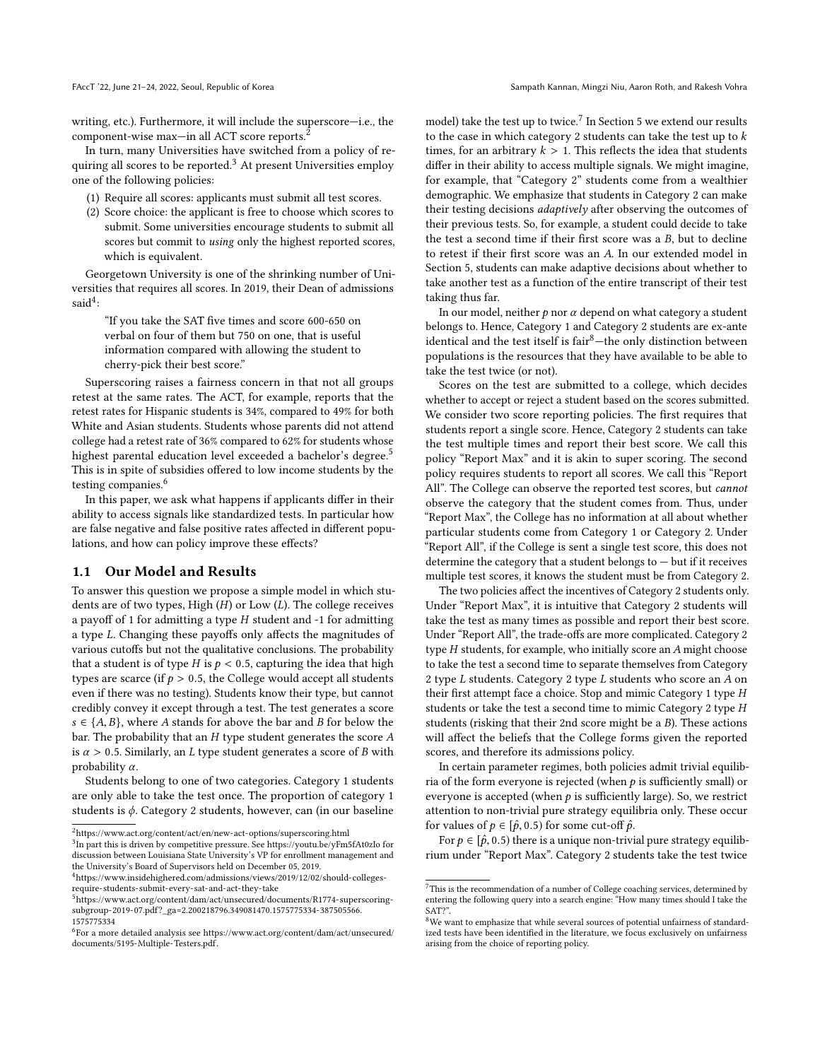writing, etc.). Furthermore, it will include the superscore—i.e., the component-wise max—in all ACT score reports.[2](#page-1-0)

In turn, many Universities have switched from a policy of re-quiring all scores to be reported.<sup>[3](#page-1-1)</sup> At present Universities employ one of the following policies:

- (1) Require all scores: applicants must submit all test scores.
- (2) Score choice: the applicant is free to choose which scores to submit. Some universities encourage students to submit all scores but commit to using only the highest reported scores, which is equivalent.

Georgetown University is one of the shrinking number of Universities that requires all scores. In 2019, their Dean of admissions  $said<sup>4</sup>$  $said<sup>4</sup>$  $said<sup>4</sup>$ :

"If you take the SAT five times and score 600-650 on verbal on four of them but 750 on one, that is useful information compared with allowing the student to cherry-pick their best score."

Superscoring raises a fairness concern in that not all groups retest at the same rates. The ACT, for example, reports that the retest rates for Hispanic students is 34%, compared to 49% for both White and Asian students. Students whose parents did not attend college had a retest rate of 36% compared to 62% for students whose highest parental education level exceeded a bachelor's degree.<sup>[5](#page-1-3)</sup> This is in spite of subsidies offered to low income students by the testing companies.<sup>[6](#page-1-4)</sup>

In this paper, we ask what happens if applicants differ in their ability to access signals like standardized tests. In particular how are false negative and false positive rates affected in different populations, and how can policy improve these effects?

## 1.1 Our Model and Results

To answer this question we propose a simple model in which students are of two types, High  $(H)$  or Low  $(L)$ . The college receives a payoff of 1 for admitting a type  $H$  student and  $-1$  for admitting a type L. Changing these payoffs only affects the magnitudes of various cutoffs but not the qualitative conclusions. The probability that a student is of type H is  $p < 0.5$ , capturing the idea that high types are scarce (if  $p > 0.5$ , the College would accept all students even if there was no testing). Students know their type, but cannot credibly convey it except through a test. The test generates a score  $s \in \{A, B\}$ , where A stands for above the bar and B for below the bar. The probability that an  $H$  type student generates the score  $A$ is  $\alpha > 0.5$ . Similarly, an L type student generates a score of B with probability  $\alpha$ .

Students belong to one of two categories. Category 1 students are only able to take the test once. The proportion of category 1 students is  $\phi$ . Category 2 students, however, can (in our baseline

model) take the test up to twice.<sup>[7](#page-1-5)</sup> In Section [5](#page-6-0) we extend our results to the case in which category 2 students can take the test up to  $k$ times, for an arbitrary  $k > 1$ . This reflects the idea that students differ in their ability to access multiple signals. We might imagine, for example, that "Category 2" students come from a wealthier demographic. We emphasize that students in Category 2 can make their testing decisions *adaptively* after observing the outcomes of their previous tests. So, for example, a student could decide to take the test a second time if their first score was a B, but to decline to retest if their first score was an A. In our extended model in Section [5,](#page-6-0) students can make adaptive decisions about whether to take another test as a function of the entire transcript of their test taking thus far.

In our model, neither  $p$  nor  $\alpha$  depend on what category a student belongs to. Hence, Category 1 and Category 2 students are ex-ante identical and the test itself is  $fair<sup>8</sup>$  $fair<sup>8</sup>$  $fair<sup>8</sup>$ -the only distinction between populations is the resources that they have available to be able to take the test twice (or not).

Scores on the test are submitted to a college, which decides whether to accept or reject a student based on the scores submitted. We consider two score reporting policies. The first requires that students report a single score. Hence, Category 2 students can take the test multiple times and report their best score. We call this policy "Report Max" and it is akin to super scoring. The second policy requires students to report all scores. We call this "Report All". The College can observe the reported test scores, but cannot observe the category that the student comes from. Thus, under "Report Max", the College has no information at all about whether particular students come from Category 1 or Category 2. Under "Report All", if the College is sent a single test score, this does not determine the category that a student belongs to  $-$  but if it receives multiple test scores, it knows the student must be from Category 2.

The two policies affect the incentives of Category 2 students only. Under "Report Max", it is intuitive that Category 2 students will take the test as many times as possible and report their best score. Under "Report All", the trade-offs are more complicated. Category 2 type H students, for example, who initially score an A might choose to take the test a second time to separate themselves from Category 2 type L students. Category 2 type L students who score an A on their first attempt face a choice. Stop and mimic Category 1 type H students or take the test a second time to mimic Category 2 type H students (risking that their 2nd score might be a B). These actions will affect the beliefs that the College forms given the reported scores, and therefore its admissions policy.

In certain parameter regimes, both policies admit trivial equilibria of the form everyone is rejected (when  $p$  is sufficiently small) or everyone is accepted (when  $p$  is sufficiently large). So, we restrict attention to non-trivial pure strategy equilibria only. These occur for values of  $p \in [\hat{p}, 0.5)$  for some cut-off  $\hat{p}$ .

For  $p \in [\hat{p}, 0.5)$  there is a unique non-trivial pure strategy equilibrium under "Report Max". Category 2 students take the test twice

<span id="page-1-1"></span><span id="page-1-0"></span><sup>2</sup><https://www.act.org/content/act/en/new-act-options/superscoring.html> 3 In part this is driven by competitive pressure. See [https://youtu.be/yFm5fAt0zIo]( https://youtu.be/yFm5fAt0zIo) for discussion between Louisiana State University's VP for enrollment management and

<span id="page-1-2"></span>the University's Board of Supervisors held on December 05, 2019. <sup>4</sup>[https://www.insidehighered.com/admissions/views/2019/12/02/should-colleges](https://www.insidehighered.com/admissions/views/2019/12/02/should-colleges-require-students-submit-every-sat-and-act-they-take)[require-students-submit-every-sat-and-act-they-take](https://www.insidehighered.com/admissions/views/2019/12/02/should-colleges-require-students-submit-every-sat-and-act-they-take)

<span id="page-1-3"></span><sup>5</sup>[https://www.act.org/content/dam/act/unsecured/documents/R1774-superscoring](https://www.act.org/content/dam/act/unsecured/documents/R1774-superscoring-subgroup-2019-07.pdf?_ga=2.200218796.349081470.1575775334-387505566.1575775334)[subgroup-2019-07.pdf?\\_ga=2.200218796.349081470.1575775334-387505566.](https://www.act.org/content/dam/act/unsecured/documents/R1774-superscoring-subgroup-2019-07.pdf?_ga=2.200218796.349081470.1575775334-387505566.1575775334) [1575775334](https://www.act.org/content/dam/act/unsecured/documents/R1774-superscoring-subgroup-2019-07.pdf?_ga=2.200218796.349081470.1575775334-387505566.1575775334)

<span id="page-1-4"></span> $^6$ For a more detailed analysis see [https://www.act.org/content/dam/act/unsecured/](https://www.act.org/content/dam/act/unsecured/documents/5195-Multiple-Testers.pdf) [documents/5195-Multiple-Testers.pdf.](https://www.act.org/content/dam/act/unsecured/documents/5195-Multiple-Testers.pdf)

<span id="page-1-5"></span> $^7\mathrm{This}$  is the recommendation of a number of College coaching services, determined by entering the following query into a search engine: "How many times should I take the SAT?"

<span id="page-1-6"></span><sup>&</sup>lt;sup>8</sup>We want to emphasize that while several sources of potential unfairness of standardized tests have been identified in the literature, we focus exclusively on unfairness arising from the choice of reporting policy.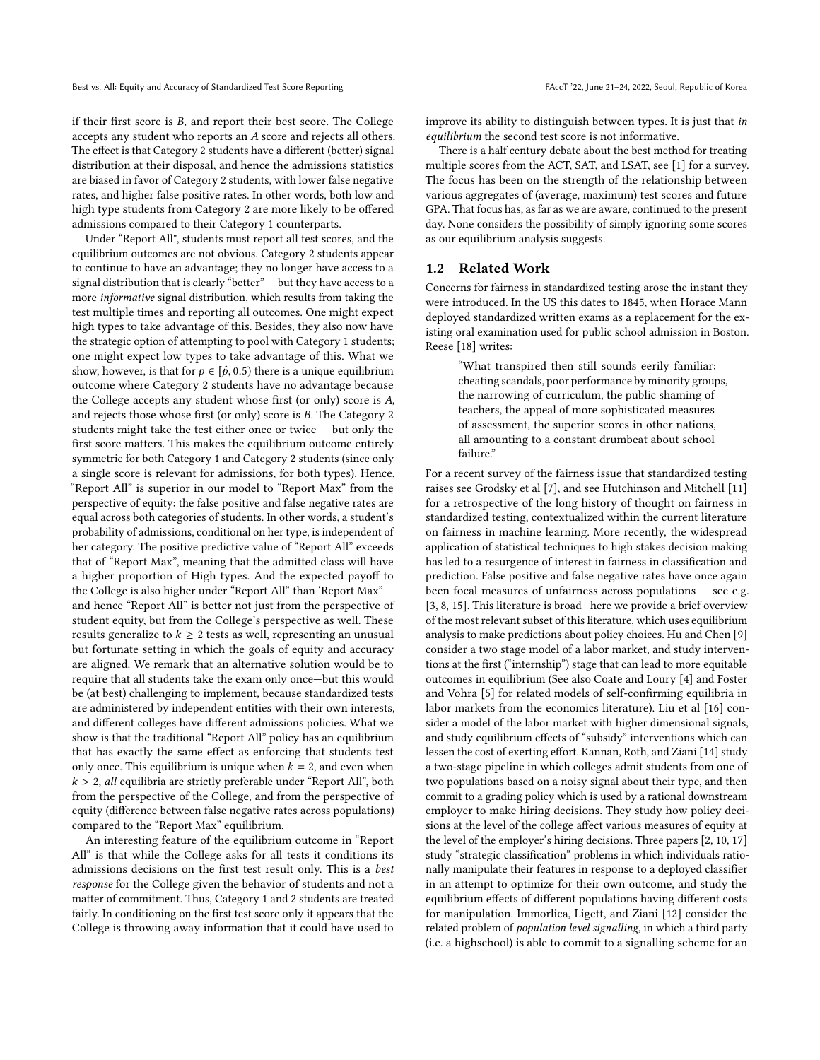if their first score is B, and report their best score. The College accepts any student who reports an A score and rejects all others. The effect is that Category 2 students have a different (better) signal distribution at their disposal, and hence the admissions statistics are biased in favor of Category 2 students, with lower false negative rates, and higher false positive rates. In other words, both low and high type students from Category 2 are more likely to be offered admissions compared to their Category 1 counterparts.

Under "Report All", students must report all test scores, and the equilibrium outcomes are not obvious. Category 2 students appear to continue to have an advantage; they no longer have access to a signal distribution that is clearly "better" — but they have access to a more informative signal distribution, which results from taking the test multiple times and reporting all outcomes. One might expect high types to take advantage of this. Besides, they also now have the strategic option of attempting to pool with Category 1 students; one might expect low types to take advantage of this. What we show, however, is that for  $p \in [\hat{p}, 0.5)$  there is a unique equilibrium outcome where Category 2 students have no advantage because the College accepts any student whose first (or only) score is A, and rejects those whose first (or only) score is B. The Category 2 students might take the test either once or twice — but only the first score matters. This makes the equilibrium outcome entirely symmetric for both Category 1 and Category 2 students (since only a single score is relevant for admissions, for both types). Hence, "Report All" is superior in our model to "Report Max" from the perspective of equity: the false positive and false negative rates are equal across both categories of students. In other words, a student's probability of admissions, conditional on her type, is independent of her category. The positive predictive value of "Report All" exceeds that of "Report Max", meaning that the admitted class will have a higher proportion of High types. And the expected payoff to the College is also higher under "Report All" than 'Report Max" and hence "Report All" is better not just from the perspective of student equity, but from the College's perspective as well. These results generalize to  $k \geq 2$  tests as well, representing an unusual but fortunate setting in which the goals of equity and accuracy are aligned. We remark that an alternative solution would be to require that all students take the exam only once—but this would be (at best) challenging to implement, because standardized tests are administered by independent entities with their own interests, and different colleges have different admissions policies. What we show is that the traditional "Report All" policy has an equilibrium that has exactly the same effect as enforcing that students test only once. This equilibrium is unique when  $k = 2$ , and even when  $k > 2$ , all equilibria are strictly preferable under "Report All", both from the perspective of the College, and from the perspective of equity (difference between false negative rates across populations) compared to the "Report Max" equilibrium.

An interesting feature of the equilibrium outcome in "Report All" is that while the College asks for all tests it conditions its admissions decisions on the first test result only. This is a best response for the College given the behavior of students and not a matter of commitment. Thus, Category 1 and 2 students are treated fairly. In conditioning on the first test score only it appears that the College is throwing away information that it could have used to improve its ability to distinguish between types. It is just that in equilibrium the second test score is not informative.

There is a half century debate about the best method for treating multiple scores from the ACT, SAT, and LSAT, see [\[1\]](#page-8-0) for a survey. The focus has been on the strength of the relationship between various aggregates of (average, maximum) test scores and future GPA. That focus has, as far as we are aware, continued to the present day. None considers the possibility of simply ignoring some scores as our equilibrium analysis suggests.

#### 1.2 Related Work

Concerns for fairness in standardized testing arose the instant they were introduced. In the US this dates to 1845, when Horace Mann deployed standardized written exams as a replacement for the existing oral examination used for public school admission in Boston. Reese [\[18\]](#page-9-1) writes:

> "What transpired then still sounds eerily familiar: cheating scandals, poor performance by minority groups, the narrowing of curriculum, the public shaming of teachers, the appeal of more sophisticated measures of assessment, the superior scores in other nations, all amounting to a constant drumbeat about school failure."

For a recent survey of the fairness issue that standardized testing raises see Grodsky et al [\[7\]](#page-8-1), and see Hutchinson and Mitchell [\[11\]](#page-9-2) for a retrospective of the long history of thought on fairness in standardized testing, contextualized within the current literature on fairness in machine learning. More recently, the widespread application of statistical techniques to high stakes decision making has led to a resurgence of interest in fairness in classification and prediction. False positive and false negative rates have once again been focal measures of unfairness across populations — see e.g. [\[3,](#page-8-2) [8,](#page-9-3) [15\]](#page-9-4). This literature is broad—here we provide a brief overview of the most relevant subset of this literature, which uses equilibrium analysis to make predictions about policy choices. Hu and Chen [\[9\]](#page-9-5) consider a two stage model of a labor market, and study interventions at the first ("internship") stage that can lead to more equitable outcomes in equilibrium (See also Coate and Loury [\[4\]](#page-8-3) and Foster and Vohra [\[5\]](#page-8-4) for related models of self-confirming equilibria in labor markets from the economics literature). Liu et al [\[16\]](#page-9-6) consider a model of the labor market with higher dimensional signals, and study equilibrium effects of "subsidy" interventions which can lessen the cost of exerting effort. Kannan, Roth, and Ziani [\[14\]](#page-9-7) study a two-stage pipeline in which colleges admit students from one of two populations based on a noisy signal about their type, and then commit to a grading policy which is used by a rational downstream employer to make hiring decisions. They study how policy decisions at the level of the college affect various measures of equity at the level of the employer's hiring decisions. Three papers [\[2,](#page-8-5) [10,](#page-9-8) [17\]](#page-9-9) study "strategic classification" problems in which individuals rationally manipulate their features in response to a deployed classifier in an attempt to optimize for their own outcome, and study the equilibrium effects of different populations having different costs for manipulation. Immorlica, Ligett, and Ziani [\[12\]](#page-9-10) consider the related problem of population level signalling, in which a third party (i.e. a highschool) is able to commit to a signalling scheme for an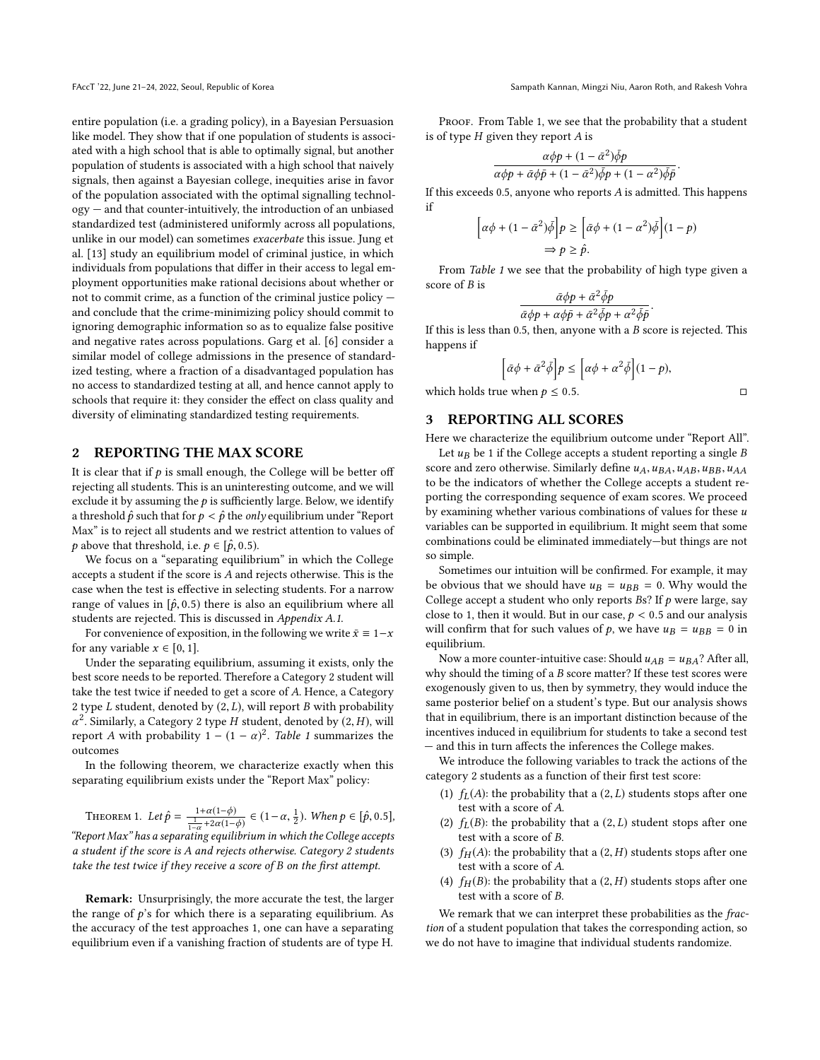entire population (i.e. a grading policy), in a Bayesian Persuasion like model. They show that if one population of students is associated with a high school that is able to optimally signal, but another population of students is associated with a high school that naively signals, then against a Bayesian college, inequities arise in favor of the population associated with the optimal signalling technology — and that counter-intuitively, the introduction of an unbiased standardized test (administered uniformly across all populations, unlike in our model) can sometimes exacerbate this issue. Jung et al. [\[13\]](#page-9-11) study an equilibrium model of criminal justice, in which individuals from populations that differ in their access to legal employment opportunities make rational decisions about whether or not to commit crime, as a function of the criminal justice policy and conclude that the crime-minimizing policy should commit to ignoring demographic information so as to equalize false positive and negative rates across populations. Garg et al. [\[6\]](#page-8-6) consider a similar model of college admissions in the presence of standardized testing, where a fraction of a disadvantaged population has no access to standardized testing at all, and hence cannot apply to schools that require it: they consider the effect on class quality and diversity of eliminating standardized testing requirements.

#### <span id="page-3-0"></span>2 REPORTING THE MAX SCORE

It is clear that if  $p$  is small enough, the College will be better off rejecting all students. This is an uninteresting outcome, and we will exclude it by assuming the  $p$  is sufficiently large. Below, we identify a threshold  $\hat{p}$  such that for  $p < \hat{p}$  the *only* equilibrium under "Report" Max" is to reject all students and we restrict attention to values of *p* above that threshold, i.e.  $p \in [\hat{p}, 0.5)$ .

We focus on a "separating equilibrium" in which the College accepts a student if the score is A and rejects otherwise. This is the case when the test is effective in selecting students. For a narrow range of values in  $\left[\hat{p}, 0.5\right)$  there is also an equilibrium where all students are rejected. This is discussed in Appendix [A.1](#page-9-12).

For convenience of exposition, in the following we write  $\bar{x} \equiv 1-x$ for any variable  $x \in [0, 1]$ .

Under the separating equilibrium, assuming it exists, only the best score needs to be reported. Therefore a Category 2 student will take the test twice if needed to get a score of A. Hence, a Category 2 type L student, denoted by  $(2, L)$ , will report B with probability a report A with probability  $1 - (1 - \alpha)^2$ . Table [1](#page-4-0) summarizes the <sup>2</sup>. Similarly, a Category 2 type H student, denoted by  $(2, H)$ , will<br>enort A with probability  $1 - (1 - \alpha)^2$ . Table 1 summarizes the outcomes

In the following theorem, we characterize exactly when this separating equilibrium exists under the "Report Max" policy:

THEOREM 1. Let  $\hat{p} = \frac{1+\alpha(1-\phi)}{\frac{1}{1-\alpha}+2\alpha(1-\phi)} \in (1-\alpha, \frac{1}{2})$ . When  $p \in [\hat{p}, 0.5]$ , "Report Max" has a separating equilibrium in which the College accepts a student if the score is A and rejects otherwise. Category 2 students take the test twice if they receive a score of B on the first attempt.

Remark: Unsurprisingly, the more accurate the test, the larger the range of  $p$ 's for which there is a separating equilibrium. As the accuracy of the test approaches 1, one can have a separating equilibrium even if a vanishing fraction of students are of type H.

PROOF. From Table [1,](#page-4-0) we see that the probability that a student is of type  $H$  given they report  $A$  is

$$
\frac{\alpha\phi p + (1 - \bar{\alpha}^2)\bar{\phi}p}{\alpha\phi p + \bar{\alpha}\phi\bar{p} + (1 - \bar{\alpha}^2)\bar{\phi}p + (1 - \alpha^2)\bar{\phi}p}
$$

If this exceeds 0.5, anyone who reports  $A$  is admitted. This happens if

$$
\left[\alpha\phi + (1 - \bar{\alpha}^2)\bar{\phi}\right]p \ge \left[\bar{\alpha}\phi + (1 - \alpha^2)\bar{\phi}\right](1 - p)
$$

$$
\Rightarrow p \ge \hat{p}.
$$

From Table [1](#page-4-0) we see that the probability of high type given a score of B is

$$
\frac{\bar{\alpha}\phi p + \bar{\alpha}^2 \bar{\phi} p}{\bar{\alpha}\phi p + \alpha\phi\bar{p} + \bar{\alpha}^2 \bar{\phi} p + \alpha^2 \bar{\phi} \bar{p}}
$$

If this is less than 0.5, then, anyone with a  $B$  score is rejected. This happens if happens if

$$
\left[\bar{\alpha}\phi + \bar{\alpha}^2\bar{\phi}\right]p \le \left[\alpha\phi + \alpha^2\bar{\phi}\right](1-p),
$$

which holds true when  $p \leq 0.5$ .

# 3 REPORTING ALL SCORES

Here we characterize the equilibrium outcome under "Report All".

Let  $u_B$  be 1 if the College accepts a student reporting a single B score and zero otherwise. Similarly define  $u_A, u_{BA}, u_{AB}, u_{BB}, u_{AA}$ to be the indicators of whether the College accepts a student reporting the corresponding sequence of exam scores. We proceed by examining whether various combinations of values for these  $u$ variables can be supported in equilibrium. It might seem that some combinations could be eliminated immediately—but things are not so simple.

Sometimes our intuition will be confirmed. For example, it may be obvious that we should have  $u_B = u_{BB} = 0$ . Why would the College accept a student who only reports  $Bs?$  If  $p$  were large, say close to 1, then it would. But in our case,  $p < 0.5$  and our analysis will confirm that for such values of p, we have  $u_B = u_{BB} = 0$  in equilibrium.

Now a more counter-intuitive case: Should  $u_{AB} = u_{BA}$ ? After all, why should the timing of a  $B$  score matter? If these test scores were exogenously given to us, then by symmetry, they would induce the same posterior belief on a student's type. But our analysis shows that in equilibrium, there is an important distinction because of the incentives induced in equilibrium for students to take a second test — and this in turn affects the inferences the College makes.

We introduce the following variables to track the actions of the category 2 students as a function of their first test score:

- (1)  $f_L(A)$ : the probability that a (2, L) students stops after one test with a score of A.
- (2)  $f_L(B)$ : the probability that a (2, L) student stops after one test with a score of B.
- (3)  $f_H(A)$ : the probability that a  $(2, H)$  students stops after one test with a score of A.
- (4)  $f<sub>H</sub>(B)$ : the probability that a  $(2, H)$  students stops after one test with a score of B.

We remark that we can interpret these probabilities as the fraction of a student population that takes the corresponding action, so we do not have to imagine that individual students randomize.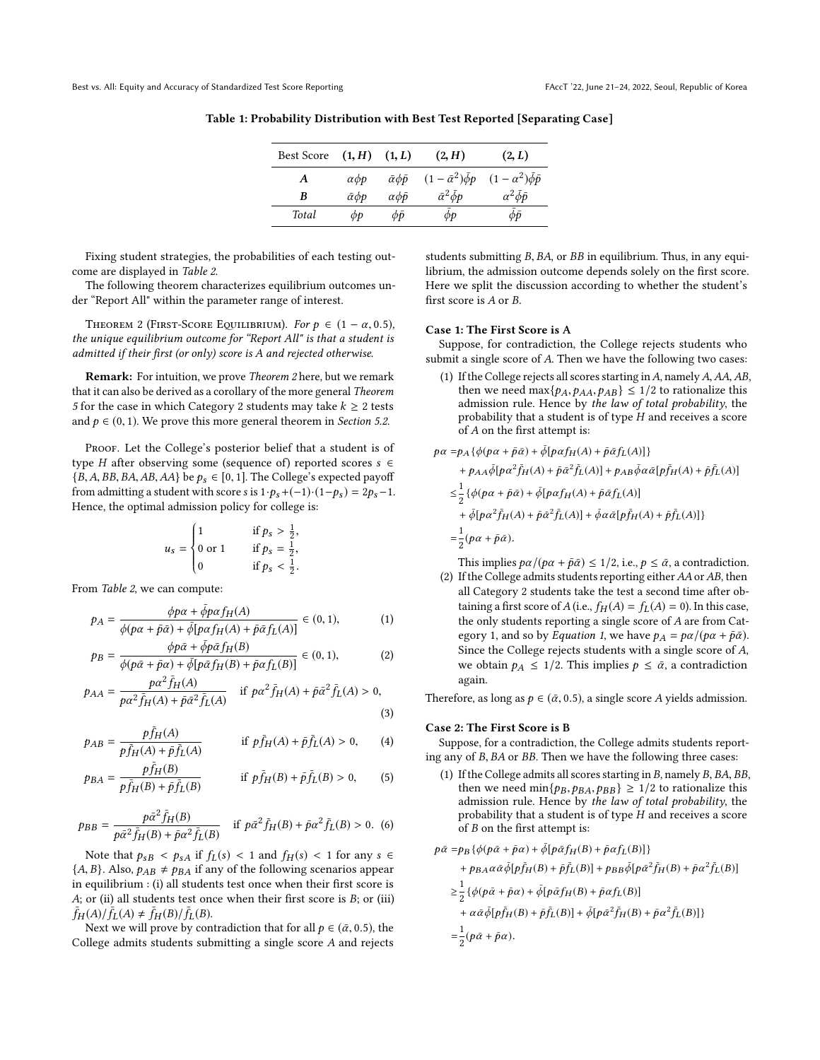| <b>Best Score</b> | (1, H)                                     | (1, L)                      | (2, H)                          | (2, L)                            |
|-------------------|--------------------------------------------|-----------------------------|---------------------------------|-----------------------------------|
| A                 | $\alpha$ <i><math>\phi</math></i> $\alpha$ | $\bar{\alpha}\phi\bar{\nu}$ | $(1-\bar{\alpha}^2)\bar{\phi}p$ | $(1 - \alpha^2)\bar{\phi}\bar{p}$ |
| B                 | $\bar{\alpha}$ $\phi$ p                    | $\alpha \phi \bar{p}$       | $\bar{\alpha}^2 \bar{\phi} p$   | $\alpha^2 \bar{\phi} \bar{\phi}$  |
| Total             | фp                                         | $\phi \bar{\nu}$            | $\phi p$                        | $\phi \bar{\nu}$                  |

<span id="page-4-0"></span>Table 1: Probability Distribution with Best Test Reported [Separating Case]

Fixing student strategies, the probabilities of each testing outcome are displayed in Table [2](#page-5-0).

The following theorem characterizes equilibrium outcomes under "Report All" within the parameter range of interest.

<span id="page-4-1"></span>THEOREM 2 (FIRST-SCORE EQUILIBRIUM). For  $p \in (1 - \alpha, 0.5)$ , the unique equilibrium outcome for "Report All" is that a student is admitted if their first (or only) score is A and rejected otherwise.

Remark: For intuition, we prove Theorem [2](#page-4-1) here, but we remark that it can also be derived as a corollary of the more general Theorem [5](#page-6-1) for the case in which Category 2 students may take  $k \geq 2$  tests and  $p \in (0, 1)$ . We prove this more general theorem in *Section* [5.2](#page-6-2).

PROOF. Let the College's posterior belief that a student is of type H after observing some (sequence of) reported scores  $s \in \mathbb{R}$  ${B, A, BB, BA, AB, AA}$  be  $p_s \in [0, 1]$ . The College's expected payoff from admitting a student with score s is  $1 \cdot p_s + (-1) \cdot (1-p_s) = 2p_s - 1$ . Hence, the optimal admission policy for college is:

$$
u_s = \begin{cases} 1 & \text{if } p_s > \frac{1}{2}, \\ 0 \text{ or } 1 & \text{if } p_s = \frac{1}{2}, \\ 0 & \text{if } p_s < \frac{1}{2}. \end{cases}
$$

From *Table [2](#page-5-0)*, we can compute:

$$
p_A = \frac{\phi p \alpha + \bar{\phi} p \alpha f_H(A)}{\phi (p \alpha + \bar{p} \bar{\alpha}) + \bar{\phi} [p \alpha f_H(A) + \bar{p} \bar{\alpha} f_L(A)]} \in (0, 1), \tag{1}
$$

$$
p_B = \frac{\phi p \bar{\alpha} + \bar{\phi} p \bar{\alpha} f_H(B)}{\phi (p \bar{\alpha} + \bar{p} \alpha) + \bar{\phi} [p \bar{\alpha} f_H(B) + \bar{p} \alpha f_L(B)]} \in (0, 1),
$$
 (2)

$$
p_{AA} = \frac{p\alpha^2 \bar{f}_H(A)}{p\alpha^2 \bar{f}_H(A) + \bar{p}\bar{\alpha}^2 \bar{f}_L(A)} \quad \text{if } p\alpha^2 \bar{f}_H(A) + \bar{p}\bar{\alpha}^2 \bar{f}_L(A) > 0,
$$
\n(3)

$$
p_{AB} = \frac{p\bar{f}_H(A)}{p\bar{f}_H(A) + \bar{p}\bar{f}_L(A)} \quad \text{if } p\bar{f}_H(A) + \bar{p}\bar{f}_L(A) > 0,
$$
 (4)

$$
p_{BA} = \frac{p\bar{f}_H(B)}{p\bar{f}_H(B) + \bar{p}\bar{f}_L(B)} \quad \text{if } p\bar{f}_H(B) + \bar{p}\bar{f}_L(B) > 0,
$$
 (5)

$$
p_{BB} = \frac{p\bar{\alpha}^2 \bar{f}_H(B)}{p\bar{\alpha}^2 \bar{f}_H(B) + \bar{p}\alpha^2 \bar{f}_L(B)} \quad \text{if } p\bar{\alpha}^2 \bar{f}_H(B) + \bar{p}\alpha^2 \bar{f}_L(B) > 0. \tag{6}
$$

Note that  $p_{sB} < p_{sA}$  if  $f_L(s) < 1$  and  $f_H(s) < 1$  for any  $s \in$  ${A, B}$ . Also,  $p_{AB} \neq p_{BA}$  if any of the following scenarios appear in equilibrium : (i) all students test once when their first score is A; or (ii) all students test once when their first score is  $B$ ; or (iii)  $\bar{f}_H(A)/\bar{f}_L(A) \neq \bar{f}_H(B)/\bar{f}_L(B).$ <br>Next we will prove by con

Next we will prove by contradiction that for all  $p \in (\bar{\alpha}, 0.5)$ , the College admits students submitting a single score A and rejects students submitting B, BA, or BB in equilibrium. Thus, in any equilibrium, the admission outcome depends solely on the first score. Here we split the discussion according to whether the student's first score is A or B.

## Case 1: The First Score is A

Suppose, for contradiction, the College rejects students who submit a single score of A. Then we have the following two cases:

(1) If the College rejects all scores starting in  $A$ , namely  $A$ ,  $AA$ ,  $AB$ , then we need max $\{p_A, p_{AA}, p_{AB}\} \leq 1/2$  to rationalize this admission rule. Hence by the law of total probability, the probability that a student is of type H and receives a score of A on the first attempt is:

$$
\begin{split} p\alpha=&p_A\{\phi(p\alpha+\bar{p}\bar{\alpha})+\bar{\phi}[p\alpha f_H(A)+\bar{p}\bar{\alpha}f_L(A)]\}\\ &+p_{AA}\bar{\phi}[p\alpha^2\bar{f}_H(A)+\bar{p}\bar{\alpha}^2\bar{f}_L(A)]+p_{AB}\bar{\phi}\alpha\bar{\alpha}[p\bar{f}_H(A)+\bar{p}\bar{f}_L(A)]\\ \leq&\frac{1}{2}\{\phi(p\alpha+\bar{p}\bar{\alpha})+\bar{\phi}[p\alpha f_H(A)+\bar{p}\bar{\alpha}f_L(A)]\\ &+\bar{\phi}[p\alpha^2\bar{f}_H(A)+\bar{p}\bar{\alpha}^2\bar{f}_L(A)]+\bar{\phi}\alpha\bar{\alpha}[p\bar{f}_H(A)+\bar{p}\bar{f}_L(A)]\}\\ =&\frac{1}{2}(p\alpha+\bar{p}\bar{\alpha}). \end{split}
$$

This implies  $p\alpha/(p\alpha + \bar{p}\bar{\alpha}) \leq 1/2$ , i.e.,  $p \leq \bar{\alpha}$ , a contradiction.

<span id="page-4-2"></span>(2) If the College admits students reporting either  $AA$  or  $AB$ , then all Category 2 students take the test a second time after obtaining a first score of A (i.e.,  $f_H(A) = f_L(A) = 0$ ). In this case, the only students reporting a single score of A are from Cat-egory [1](#page-4-2), and so by *Equation 1*, we have  $p_A = p\alpha/(\rho\alpha + \bar{p}\bar{\alpha})$ . Since the College rejects students with a single score of A, we obtain  $p_A \leq 1/2$ . This implies  $p \leq \bar{\alpha}$ , a contradiction again.

<span id="page-4-3"></span>Therefore, as long as  $p \in (\bar{\alpha}, 0.5)$ , a single score A yields admission.

#### Case 2: The First Score is B

<span id="page-4-4"></span>Suppose, for a contradiction, the College admits students reporting any of B, BA or BB. Then we have the following three cases:

(1) If the College admits all scores starting in B, namely B, BA, BB, then we need min $\{p_B, p_{BA}, p_{BB}\} \ge 1/2$  to rationalize this admission rule. Hence by the law of total probability, the probability that a student is of type H and receives a score of B on the first attempt is:

<span id="page-4-5"></span>
$$
\begin{aligned} p\bar{\alpha}=&p_B\left\{\phi(p\bar{\alpha}+\bar{p}\alpha)+\bar{\phi}[p\bar{\alpha}f_H(B)+\bar{p}\alpha f_L(B)]\right\}\\ &+p_{BA}\alpha\bar{\alpha}\bar{\phi}[p\bar{f}_H(B)+\bar{p}\bar{f}_L(B)]+p_{BB}\bar{\phi}[p\bar{\alpha}^2\bar{f}_H(B)+\bar{p}\alpha^2\bar{f}_L(B)]\\ \geq&\frac{1}{2}\left\{\phi(p\bar{\alpha}+\bar{p}\alpha)+\bar{\phi}[p\bar{\alpha}f_H(B)+\bar{p}\alpha f_L(B)]\right.\\ &\left.+\alpha\bar{\alpha}\bar{\phi}[p\bar{f}_H(B)+\bar{p}\bar{f}_L(B)]+\bar{\phi}[p\bar{\alpha}^2\bar{f}_H(B)+\bar{p}\alpha^2\bar{f}_L(B)]\right\}\\ =&\frac{1}{2}(p\bar{\alpha}+\bar{p}\alpha). \end{aligned}
$$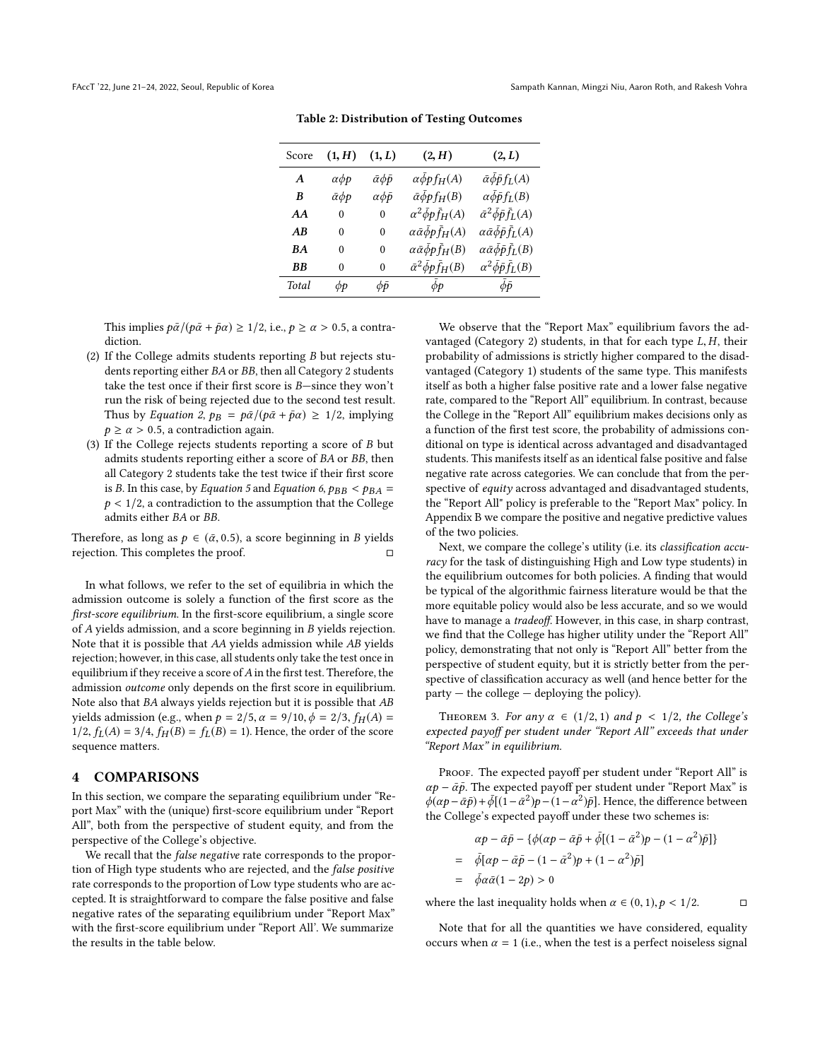<span id="page-5-0"></span>

| Score            | (1, H)                | (1, L)                         | (2, H)                                          | (2, L)                                                   |
|------------------|-----------------------|--------------------------------|-------------------------------------------------|----------------------------------------------------------|
| $\boldsymbol{A}$ | $\alpha\phi p$        | $\bar{\alpha} \phi \bar{\rho}$ | $\alpha \bar{\phi}$ <i>p</i> f <sub>H</sub> (A) | $\bar{\alpha}\bar{\phi}\bar{p}f_L(A)$                    |
| B                | $\bar{\alpha} \phi p$ | $\alpha \phi \bar{p}$          | $\bar{\alpha}\bar{\phi}p f_H(B)$                | $\alpha \bar{\phi} \bar{p} f_L(B)$                       |
| AA               | $\theta$              | $\theta$                       | $\alpha^2 \bar{\phi} p \bar{f}_H(A)$            | $\bar{\alpha}^2 \bar{\phi} \bar{p} \bar{f}_L(A)$         |
| AB               | 0                     | 0                              | $\alpha \bar{\alpha} \bar{\phi} p \bar{f}_H(A)$ | $\alpha \bar{\alpha} \bar{\phi} \bar{\rho} \bar{f}_L(A)$ |
| <b>BA</b>        | 0                     | 0                              | $\alpha \bar{\alpha} \bar{\phi} p \bar{f}_H(B)$ | $\alpha \bar{\alpha} \bar{\phi} \bar{\rho} \bar{f}_L(B)$ |
| ВB               | 0                     | 0                              | $\bar{\alpha}^2 \bar{\phi} p \bar{f}_H(B)$      | $\alpha^2 \bar{\phi} \bar{p} \bar{f}_L(B)$               |
| Total            | φp                    | фō                             | $\phi p$                                        | фō                                                       |
|                  |                       |                                |                                                 |                                                          |

Table 2: Distribution of Testing Outcomes

This implies  $p\bar{\alpha}/(p\bar{\alpha} + \bar{p}\alpha) \geq 1/2$ , i.e.,  $p \geq \alpha > 0.5$ , a contradiction.

- (2) If the College admits students reporting <sup>B</sup> but rejects students reporting either BA or BB, then all Category 2 students take the test once if their first score is B—since they won't run the risk of being rejected due to the second test result. Thus by Equation [2](#page-4-3),  $p_B = p\bar{\alpha}/(p\bar{\alpha} + \bar{p}\alpha) \geq 1/2$ , implying  $p \ge \alpha > 0.5$ , a contradiction again.
- (3) If the College rejects students reporting a score of B but admits students reporting either a score of BA or BB, then all Category 2 students take the test twice if their first score is B. In this case, by Equation [5](#page-4-4) and Equation [6](#page-4-5),  $p_{BB} < p_{BA}$  =  $p < 1/2$ , a contradiction to the assumption that the College admits either BA or BB.

Therefore, as long as  $p \in (\bar{\alpha}, 0.5)$ , a score beginning in B yields rejection. This completes the proof.

In what follows, we refer to the set of equilibria in which the admission outcome is solely a function of the first score as the first-score equilibrium. In the first-score equilibrium, a single score of A yields admission, and a score beginning in B yields rejection. Note that it is possible that AA yields admission while AB yields rejection; however, in this case, all students only take the test once in equilibrium if they receive a score of  $A$  in the first test. Therefore, the admission outcome only depends on the first score in equilibrium. Note also that BA always yields rejection but it is possible that AB yields admission (e.g., when  $p = 2/5$ ,  $\alpha = 9/10$ ,  $\phi = 2/3$ ,  $f_H(A)$  $1/2$ ,  $f_L(A) = 3/4$ ,  $f_H(B) = f_L(B) = 1$ ). Hence, the order of the score sequence matters.

#### <span id="page-5-1"></span>**COMPARISONS**

In this section, we compare the separating equilibrium under "Report Max" with the (unique) first-score equilibrium under "Report All", both from the perspective of student equity, and from the perspective of the College's objective.

We recall that the *false negative* rate corresponds to the proportion of High type students who are rejected, and the false positive rate corresponds to the proportion of Low type students who are accepted. It is straightforward to compare the false positive and false negative rates of the separating equilibrium under "Report Max" with the first-score equilibrium under "Report All'. We summarize the results in the table below.

We observe that the "Report Max" equilibrium favors the advantaged (Category 2) students, in that for each type  $L, H$ , their probability of admissions is strictly higher compared to the disadvantaged (Category 1) students of the same type. This manifests itself as both a higher false positive rate and a lower false negative rate, compared to the "Report All" equilibrium. In contrast, because the College in the "Report All" equilibrium makes decisions only as a function of the first test score, the probability of admissions conditional on type is identical across advantaged and disadvantaged students. This manifests itself as an identical false positive and false negative rate across categories. We can conclude that from the perspective of *equity* across advantaged and disadvantaged students, the "Report All" policy is preferable to the "Report Max" policy. In Appendix [B](#page-9-13) we compare the positive and negative predictive values of the two policies.

Next, we compare the college's utility (i.e. its classification accuracy for the task of distinguishing High and Low type students) in the equilibrium outcomes for both policies. A finding that would be typical of the algorithmic fairness literature would be that the more equitable policy would also be less accurate, and so we would have to manage a tradeoff. However, in this case, in sharp contrast, we find that the College has higher utility under the "Report All" policy, demonstrating that not only is "Report All" better from the perspective of student equity, but it is strictly better from the perspective of classification accuracy as well (and hence better for the party — the college — deploying the policy).

THEOREM 3. For any  $\alpha \in (1/2, 1)$  and  $p < 1/2$ , the College's expected payoff per student under "Report All" exceeds that under "Report Max" in equilibrium.

PROOF. The expected payoff per student under "Report All" is  $\alpha p - \bar{\alpha} \bar{p}$ . The expected payoff per student under "Report Max" is  $\phi(\alpha p - \alpha p) + \phi[(1 - \alpha^2)p - (1 - \alpha^2)\bar{p}]$ . Hence, the difference between<br>
the College's expected payoff under these two schemes is: the College's expected payoff under these two schemes is:

$$
\alpha p - \bar{\alpha}\bar{p} - \{\phi(\alpha p - \bar{\alpha}\bar{p} + \bar{\phi}[(1 - \bar{\alpha}^2)p - (1 - \alpha^2)\bar{p}]\}\
$$
  
=  $\bar{\phi}[\alpha p - \bar{\alpha}\bar{p} - (1 - \bar{\alpha}^2)p + (1 - \alpha^2)\bar{p}]$   
=  $\bar{\phi}\alpha\bar{\alpha}(1 - 2p) > 0$ 

where the last inequality holds when  $\alpha \in (0, 1), p < 1/2$ .  $\Box$ 

Note that for all the quantities we have considered, equality occurs when  $\alpha = 1$  (i.e., when the test is a perfect noiseless signal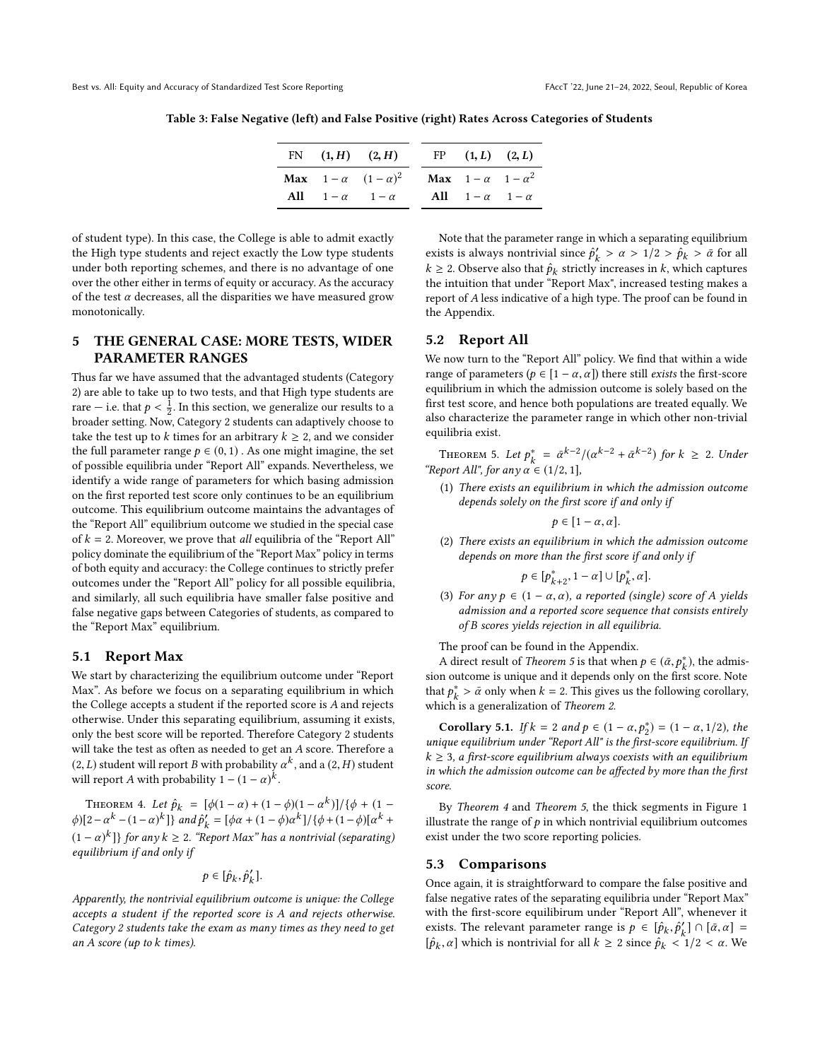Table 3: False Negative (left) and False Positive (right) Rates Across Categories of Students

|                                      | FN $(1, H)$ $(2, H)$ | FP $(1, L)$ $(2, L)$               |  |
|--------------------------------------|----------------------|------------------------------------|--|
| <b>Max</b> $1-\alpha$ $(1-\alpha)^2$ |                      | <b>Max</b> $1-\alpha$ $1-\alpha^2$ |  |
| All $1-\alpha$ $1-\alpha$            |                      | All $1-\alpha$ $1-\alpha$          |  |

of student type). In this case, the College is able to admit exactly the High type students and reject exactly the Low type students under both reporting schemes, and there is no advantage of one over the other either in terms of equity or accuracy. As the accuracy of the test  $\alpha$  decreases, all the disparities we have measured grow monotonically.

# <span id="page-6-0"></span>5 THE GENERAL CASE: MORE TESTS, WIDER PARAMETER RANGES

Thus far we have assumed that the advantaged students (Category 2) are able to take up to two tests, and that High type students are rare — i.e. that  $p < \frac{1}{2}$ . In this section, we generalize our results to a header setting. Now Category 2 students can adaptively choose to broader setting. Now, Category 2 students can adaptively choose to take the test up to k times for an arbitrary  $k \geq 2$ , and we consider the full parameter range  $p \in (0, 1)$ . As one might imagine, the set of possible equilibria under "Report All" expands. Nevertheless, we identify a wide range of parameters for which basing admission on the first reported test score only continues to be an equilibrium outcome. This equilibrium outcome maintains the advantages of the "Report All" equilibrium outcome we studied in the special case of  $k = 2$ . Moreover, we prove that all equilibria of the "Report All" policy dominate the equilibrium of the "Report Max" policy in terms of both equity and accuracy: the College continues to strictly prefer outcomes under the "Report All" policy for all possible equilibria, and similarly, all such equilibria have smaller false positive and false negative gaps between Categories of students, as compared to the "Report Max" equilibrium.

#### 5.1 Report Max

We start by characterizing the equilibrium outcome under "Report Max". As before we focus on a separating equilibrium in which the College accepts a student if the reported score is A and rejects otherwise. Under this separating equilibrium, assuming it exists, only the best score will be reported. Therefore Category 2 students will take the test as often as needed to get an A score. Therefore a (2, L) student will report B with probability  $\alpha^k$ , and a (2, H) student<br>will report A with probability  $1 - (1 - \alpha)^k$ will report A with probability  $1 - (1 - \alpha)^k$ .

<span id="page-6-3"></span>THEOREM 4. Let  $\hat{p}_k = [\phi(1-\alpha) + (1-\phi)(1-\alpha^k)]/\{\phi + (1-\phi)(1-\phi)\}\times k}$  $\phi$ )[2−α<sup>k</sup> − (1−α)<sup>k</sup>]} and  $\hat{p}'_k = [\phi \alpha + (1 - \phi) \alpha^k]/\{\phi + (1 - \phi) [\alpha^k + (1 - \phi) \alpha^k]\}$  $(1 - \alpha)^k$ ]} for any  $k \ge 2$ . "Report Max" has a nontrivial (separating)<br>equilibrium if and only if equilibrium if and only if

$$
p\in[\hat{p}_k,\hat{p}'_k].
$$

Apparently, the nontrivial equilibrium outcome is unique: the College accepts a student if the reported score is A and rejects otherwise. Category 2 students take the exam as many times as they need to get an A score (up to k times).

Note that the parameter range in which a separating equilibrium exists is always nontrivial since  $\hat{p}'_k > \alpha > 1/2 > \hat{p}_k > \bar{\alpha}$  for all  $k > 2$ . Observe also that  $\hat{p}_k$  distribution process in k which contunes  $k \ge 2$ . Observe also that  $\hat{p}_k$  strictly increases in k, which captures<br>the intuition that under "Benort May", increased testing makes a the intuition that under "Report Max", increased testing makes a report of A less indicative of a high type. The proof can be found in the Appendix.

## <span id="page-6-2"></span>5.2 Report All

We now turn to the "Report All" policy. We find that within a wide range of parameters ( $p \in [1 - \alpha, \alpha]$ ) there still *exists* the first-score equilibrium in which the admission outcome is solely based on the first test score, and hence both populations are treated equally. We also characterize the parameter range in which other non-trivial equilibria exist.

<span id="page-6-1"></span>THEOREM 5. Let  $p_k^* = \bar{\alpha}^{k-2}/(\alpha^{k-2} + \bar{\alpha}^{k-2})$  for  $k \geq 2$ . Under "Report All", for any  $\alpha \in (1/2, 1]$ ,

(1) There exists an equilibrium in which the admission outcome depends solely on the first score if and only if

$$
p\in[1-\alpha,\alpha].
$$

(2) There exists an equilibrium in which the admission outcome depends on more than the first score if and only if

$$
p\in[p^*_{k+2},1-\alpha]\cup[p^*_k,\alpha].
$$

(3) For any  $p \in (1 - \alpha, \alpha)$ , a reported (single) score of A yields admission and a reported score sequence that consists entirely of B scores yields rejection in all equilibria.

The proof can be found in the Appendix.

A direct result of *Theorem* [5](#page-6-1) is that when  $p \in (\bar{\alpha}, p_k^*)$ , the admis-<br>n outcome is unique and it depends only on the first score. Note sion outcome is unique and it depends only on the first score. Note that  $p_k^* > \bar{\alpha}$  only when  $k = 2$ . This gives us the following corollary, which is a generalization of *Theorem* 2 which is a generalization of Theorem [2](#page-4-1).

**Corollary 5.1.** If  $k = 2$  and  $p \in (1 - \alpha, p_2^*) = (1 - \alpha, 1/2)$ , the joint squilibrium under "Peppert All" is the first score equilibrium 11 unique equilibrium under "Report All" is the first-score equilibrium. If  $k \geq 3$ , a first-score equilibrium always coexists with an equilibrium in which the admission outcome can be affected by more than the first score.

By Theorem [4](#page-6-3) and Theorem [5](#page-6-1), the thick segments in Figure [1](#page-7-0) illustrate the range of  $p$  in which nontrivial equilibrium outcomes exist under the two score reporting policies.

#### 5.3 Comparisons

Once again, it is straightforward to compare the false positive and false negative rates of the separating equilibria under "Report Max" with the first-score equilibirum under "Report All", whenever it exists. The relevant parameter range is  $p \in [\hat{p}_k, \hat{p}'_k] \cap [\bar{\alpha}, \alpha] =$  $[\hat{p}_k, \alpha]$  which is nontrivial for all  $k \geq 2$  since  $\hat{p}_k < 1/2 < \alpha$ . We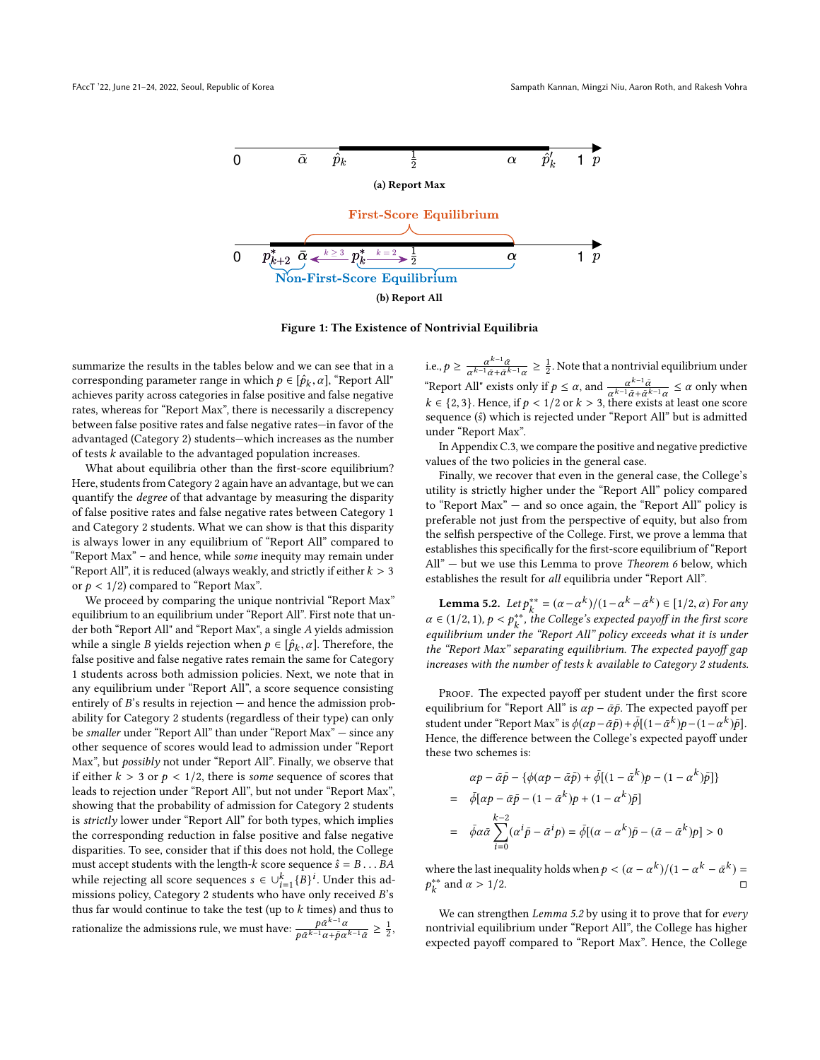<span id="page-7-0"></span>

Figure 1: The Existence of Nontrivial Equilibria

summarize the results in the tables below and we can see that in a corresponding parameter range in which  $p \in [\hat{p}_k, \alpha]$ , "Report All"<br>achieves parity across categories in false positive and false perstine achieves parity across categories in false positive and false negative rates, whereas for "Report Max", there is necessarily a discrepency between false positive rates and false negative rates—in favor of the advantaged (Category 2) students—which increases as the number of tests k available to the advantaged population increases.

What about equilibria other than the first-score equilibrium? Here, students from Category 2 again have an advantage, but we can quantify the degree of that advantage by measuring the disparity of false positive rates and false negative rates between Category 1 and Category 2 students. What we can show is that this disparity is always lower in any equilibrium of "Report All" compared to "Report Max" – and hence, while some inequity may remain under "Report All", it is reduced (always weakly, and strictly if either  $k > 3$ or  $p < 1/2$ ) compared to "Report Max".

We proceed by comparing the unique nontrivial "Report Max" equilibrium to an equilibrium under "Report All". First note that under both "Report All" and "Report Max", a single A yields admission while a single B yields rejection when  $p \in [\hat{p}_k, \alpha]$ . Therefore, the folse positive and folse persitive rates remain the same for Category false positive and false negative rates remain the same for Category 1 students across both admission policies. Next, we note that in any equilibrium under "Report All", a score sequence consisting entirely of  $B$ 's results in rejection  $-$  and hence the admission probability for Category 2 students (regardless of their type) can only be smaller under "Report All" than under "Report Max" — since any other sequence of scores would lead to admission under "Report Max", but possibly not under "Report All". Finally, we observe that if either  $k > 3$  or  $p < 1/2$ , there is some sequence of scores that leads to rejection under "Report All", but not under "Report Max", showing that the probability of admission for Category 2 students is strictly lower under "Report All" for both types, which implies the corresponding reduction in false positive and false negative disparities. To see, consider that if this does not hold, the College must accept students with the length-k score sequence  $\hat{s} = B \dots BA$ while rejecting all score sequences  $s \in \bigcup_{i=1}^{k} \{B\}^i$ . Under this ad-<br>missions policy Category 2 students who baye only received  $B$ 's missions policy, Category 2 students who have only received B's thus far would continue to take the test (up to  $k$  times) and thus to rationalize the admissions rule, we must have:  $\frac{\rho \tilde{\alpha}^{k-1} \alpha}{\rho}$  $\frac{p\bar{\alpha}^{k-1}\alpha}{p\bar{\alpha}^{k-1}\alpha+\bar{p}\alpha^{k-1}\bar{\alpha}} \geq \frac{1}{2},$ 

i.e.,  $p \ge \frac{\alpha^{k-1}\bar{\alpha}}{\alpha^{k-1}\bar{\alpha}+\bar{\alpha}^{k-1}\alpha} \ge \frac{1}{2}$ . Note that a nontrivial equilibrium under "Report All" exists only if  $p \le \alpha$ , and  $\frac{\alpha^{k-1}\tilde{\alpha}}{\alpha^{k-1}\tilde{\alpha}+\tilde{\alpha}^{k-1}\alpha} \le \alpha$  only when  $k \in \{2, 3\}$ . Hence, if  $p < 1/2$  or  $k > 3$ , there exists at least one score sequence (ŝ) which is rejected under "Report All" but is admitted under "Report Max".

In Appendix [C.3,](#page-12-1) we compare the positive and negative predictive values of the two policies in the general case.

Finally, we recover that even in the general case, the College's utility is strictly higher under the "Report All" policy compared to "Report Max" — and so once again, the "Report All" policy is preferable not just from the perspective of equity, but also from the selfish perspective of the College. First, we prove a lemma that establishes this specifically for the first-score equilibrium of "Report All" – but we use this Lemma to prove *Theorem [6](#page-8-7)* below, which establishes the result for all equilibria under "Report All".

<span id="page-7-1"></span>**Lemma 5.2.** Let  $p_{k}^{**} = (\alpha - \alpha^k)/((1 - \alpha^k - \bar{\alpha}^k) \in [1/2, \alpha)$  For any<br> $\epsilon$  (1/2, 1)  $p \leq p^{**}$ , the College's expected payoff in the first secret  $\alpha \in (1/2, 1), p < p_k^{**}$ , the College's expected payoff in the first score<br>equilibrium under the "Papert All" poliny exceeds what it is under equilibrium under the "Report All" policy exceeds what it is under the "Report Max" separating equilibrium. The expected payoff gap increases with the number of tests k available to Category 2 students.

PROOF. The expected payoff per student under the first score equilibrium for "Report All" is  $\alpha p - \bar{\alpha} \bar{p}$ . The expected payoff per student under "Report Max" is  $\phi(\alpha p - \alpha \bar{p}) + \bar{\phi}[(1 - \bar{\alpha}^k)p - (1 - \alpha^k)\bar{p}]$ .<br>Hence the difference between the College's expected payoff under Hence, the difference between the College's expected payoff under these two schemes is:

$$
\alpha p - \bar{\alpha}\bar{p} - \{\phi(\alpha p - \bar{\alpha}\bar{p}) + \bar{\phi}[(1 - \bar{\alpha}^k)p - (1 - \alpha^k)\bar{p}]\}
$$
  
= 
$$
\bar{\phi}[\alpha p - \bar{\alpha}\bar{p} - (1 - \bar{\alpha}^k)p + (1 - \alpha^k)\bar{p}]
$$
  
= 
$$
\bar{\phi}\alpha\bar{\alpha}\sum_{i=0}^{k-2}(\alpha^i\bar{p} - \bar{\alpha}^ip) = \bar{\phi}[(\alpha - \alpha^k)\bar{p} - (\bar{\alpha} - \bar{\alpha}^k)p] > 0
$$

where the last inequality holds when  $p < (\alpha - \alpha^k)/(1 - \alpha^k - \bar{\alpha}^k) =$ <br>  $\alpha^{**}$  and  $\alpha > 1/2$  $\mathbf{r}$  $\frac{1}{k}$  and  $\alpha > 1/2$ . □

We can strengthen Lemma [5.2](#page-7-1) by using it to prove that for every nontrivial equilibrium under "Report All", the College has higher expected payoff compared to "Report Max". Hence, the College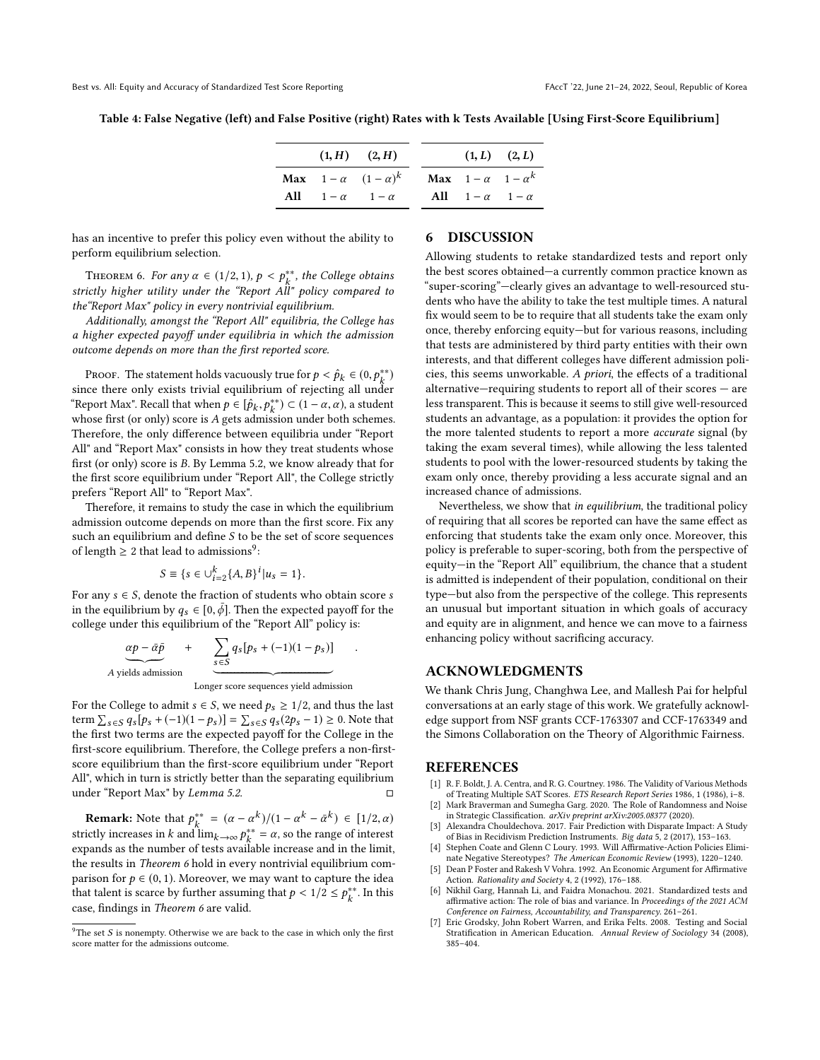Table 4: False Negative (left) and False Positive (right) Rates with k Tests Available [Using First-Score Equilibrium]

|                           | $(1, H)$ $(2, H)$                    |                                        | $(1, L)$ $(2, L)$ |
|---------------------------|--------------------------------------|----------------------------------------|-------------------|
|                           | <b>Max</b> $1-\alpha$ $(1-\alpha)^k$ | <b>Max</b> $1 - \alpha$ $1 - \alpha^k$ |                   |
| All $1-\alpha$ $1-\alpha$ |                                      | All $1-\alpha$ $1-\alpha$              |                   |
|                           |                                      |                                        |                   |

has an incentive to prefer this policy even without the ability to perform equilibrium selection.

<span id="page-8-7"></span>THEOREM 6. For any  $\alpha \in (1/2, 1), p < p_k^{**}$ , the College obtains<br>iatly higher utility under the "Pepert All" policy compared to strictly higher utility under the "Report All" policy compared to the"Report Max" policy in every nontrivial equilibrium.

Additionally, amongst the "Report All" equilibria, the College has a higher expected payoff under equilibria in which the admission outcome depends on more than the first reported score.

PROOF. The statement holds vacuously true for  $p < \hat{p}_k \in (0, p_*^{**})$ <br>ce there only exists trivial equilibrium of rejecting all under since there only exists trivial equilibrium of rejecting all under "Report Max". Recall that when  $p \in [\hat{p}_k, p_k^{**}] \subset (1 - \alpha, \alpha)$ , a student<br>whose first (or only) score is 4 gets admission under both schemes whose first (or only) score is A gets admission under both schemes.<br>Therefore, the only difference between equilibria under "Report" Therefore, the only difference between equilibria under "Report All" and "Report Max" consists in how they treat students whose first (or only) score is B. By Lemma [5.2,](#page-7-1) we know already that for the first score equilibrium under "Report All", the College strictly prefers "Report All" to "Report Max".

Therefore, it remains to study the case in which the equilibrium admission outcome depends on more than the first score. Fix any such an equilibrium and define S to be the set of score sequences of length  $\geq 2$  that lead to admissions<sup>[9](#page-8-8)</sup>:

$$
S \equiv \{ s \in \bigcup_{i=2}^{k} \{ A, B \}^i | u_s = 1 \}.
$$

For any  $s \in S$ , denote the fraction of students who obtain score  $s$ in the equilibrium by  $q_s \in [0, \bar{\phi}]$ . Then the expected payoff for the college under this equilibrium of the "Report All" policy is:

$$
\underbrace{\alpha p - \bar{\alpha} \bar{p}}_{A \text{ yields admission}}
$$
 + 
$$
\underbrace{\sum_{s \in S} q_s [p_s + (-1)(1 - p_s)]}_{\text{Longer score sequences yield admission}}
$$

For the College to admit  $s \in S$ , we need  $p_s \geq 1/2$ , and thus the last term  $\sum_{s \in S} q_s [p_s + (-1)(1-p_s)] = \sum_{s \in S} q_s (2p_s - 1) \ge 0$ . Note that the first two terms are the expected payoff for the College in the first-score equilibrium. Therefore, the College prefers a non-firstscore equilibrium than the first-score equilibrium under "Report All", which in turn is strictly better than the separating equilibrium under "Report Max" by *Lemma [5.2](#page-7-1)*.  $□$ 

**Remark:** Note that  $p_{k}^{**} = (\alpha - \alpha^k)/(1 - \alpha^k - \bar{\alpha}^k) \in [1/2, \alpha)$ <br>is the increase in k and lime  $p_{k}^{**} = \alpha$  so the range of interest strictly increases in k and  $\lim_{k\to\infty} p_k^{**} = \alpha$ , so the range of interest expands as the number of tests available increase and in the limit. the results in Theorem [6](#page-8-7) hold in every nontrivial equilibrium comparison for  $p \in (0, 1)$ . Moreover, we may want to capture the idea that talent is scarce by further assuming that  $p < 1/2 \le p_k^{**}$ . In this case, findings in Theorem [6](#page-8-7) are valid.

#### 6 DISCUSSION

Allowing students to retake standardized tests and report only the best scores obtained—a currently common practice known as "super-scoring"—clearly gives an advantage to well-resourced students who have the ability to take the test multiple times. A natural fix would seem to be to require that all students take the exam only once, thereby enforcing equity—but for various reasons, including that tests are administered by third party entities with their own interests, and that different colleges have different admission policies, this seems unworkable. A priori, the effects of a traditional alternative—requiring students to report all of their scores — are less transparent. This is because it seems to still give well-resourced students an advantage, as a population: it provides the option for the more talented students to report a more accurate signal (by taking the exam several times), while allowing the less talented students to pool with the lower-resourced students by taking the exam only once, thereby providing a less accurate signal and an increased chance of admissions.

Nevertheless, we show that in equilibrium, the traditional policy of requiring that all scores be reported can have the same effect as enforcing that students take the exam only once. Moreover, this policy is preferable to super-scoring, both from the perspective of equity—in the "Report All" equilibrium, the chance that a student is admitted is independent of their population, conditional on their type—but also from the perspective of the college. This represents an unusual but important situation in which goals of accuracy and equity are in alignment, and hence we can move to a fairness enhancing policy without sacrificing accuracy.

#### ACKNOWLEDGMENTS

We thank Chris Jung, Changhwa Lee, and Mallesh Pai for helpful conversations at an early stage of this work. We gratefully acknowledge support from NSF grants CCF-1763307 and CCF-1763349 and the Simons Collaboration on the Theory of Algorithmic Fairness.

#### REFERENCES

- <span id="page-8-0"></span>R. F. Boldt, J. A. Centra, and R. G. Courtney. 1986. The Validity of Various Methods of Treating Multiple SAT Scores. ETS Research Report Series 1986, 1 (1986), i–8.
- <span id="page-8-5"></span>[2] Mark Braverman and Sumegha Garg. 2020. The Role of Randomness and Noise in Strategic Classification. arXiv preprint arXiv:2005.08377 (2020).
- <span id="page-8-2"></span>Alexandra Chouldechova. 2017. Fair Prediction with Disparate Impact: A Study of Bias in Recidivism Prediction Instruments. Big data 5, 2 (2017), 153–163.
- <span id="page-8-3"></span>[4] Stephen Coate and Glenn C Loury. 1993. Will Affirmative-Action Policies Eliminate Negative Stereotypes? The American Economic Review (1993), 1220–1240.
- <span id="page-8-4"></span>Dean P Foster and Rakesh V Vohra. 1992. An Economic Argument for Affirmative Action. Rationality and Society 4, 2 (1992), 176–188.
- <span id="page-8-6"></span>[6] Nikhil Garg, Hannah Li, and Faidra Monachou. 2021. Standardized tests and affirmative action: The role of bias and variance. In Proceedings of the 2021 ACM Conference on Fairness, Accountability, and Transparency. 261–261.
- <span id="page-8-1"></span>[7] Eric Grodsky, John Robert Warren, and Erika Felts. 2008. Testing and Social Stratification in American Education. Annual Review of Sociology 34 (2008), 385–404.

<span id="page-8-8"></span><sup>&</sup>lt;sup>9</sup>The set S is nonempty. Otherwise we are back to the case in which only the first score matter for the admissions outcome.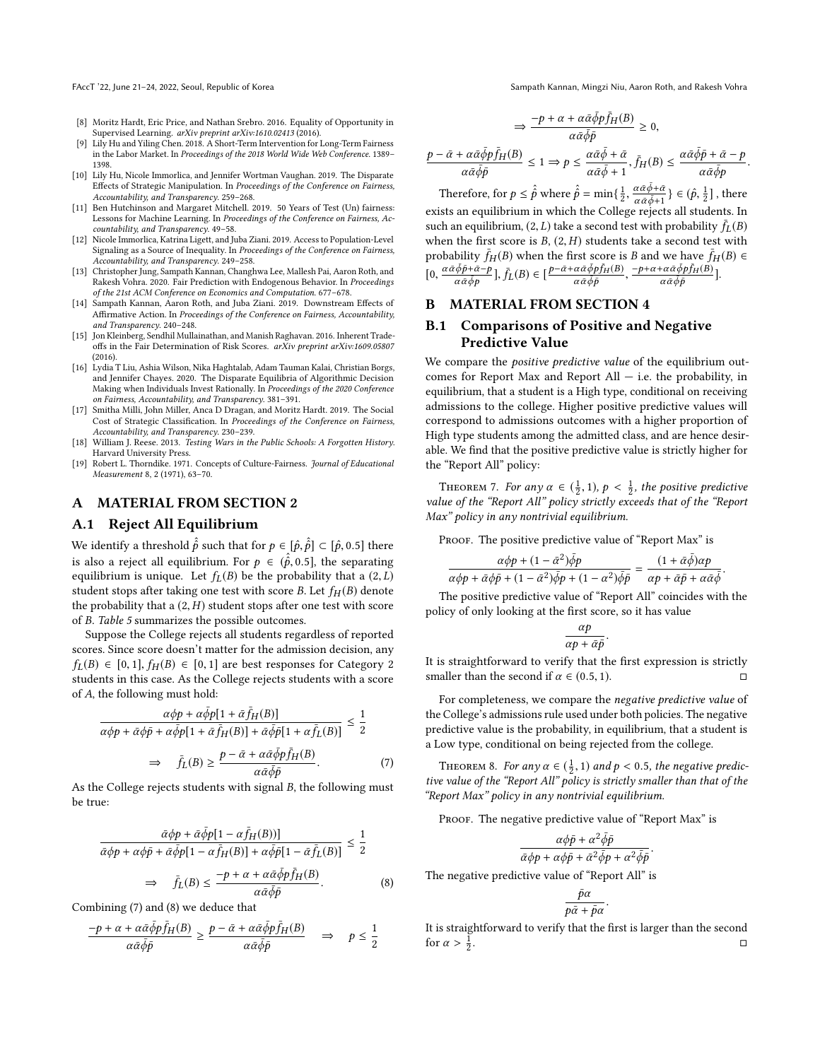FAccT '22, June 21-24, 2022, Seoul, Republic of Korea Sampath Kannan, Mingzi Niu, Aaron Roth, and Rakesh Vohra

- <span id="page-9-3"></span>[8] Moritz Hardt, Eric Price, and Nathan Srebro. 2016. Equality of Opportunity in Supervised Learning. arXiv preprint arXiv:1610.02413 (2016).
- <span id="page-9-5"></span>[9] Lily Hu and Yiling Chen. 2018. A Short-Term Intervention for Long-Term Fairness in the Labor Market. In Proceedings of the 2018 World Wide Web Conference. 1389– 1398.
- <span id="page-9-8"></span>[10] Lily Hu, Nicole Immorlica, and Jennifer Wortman Vaughan. 2019. The Disparate Effects of Strategic Manipulation. In Proceedings of the Conference on Fairness, Accountability, and Transparency. 259–268.
- <span id="page-9-2"></span>[11] Ben Hutchinson and Margaret Mitchell. 2019. 50 Years of Test (Un) fairness: Lessons for Machine Learning. In Proceedings of the Conference on Fairness, Accountability, and Transparency. 49–58.
- <span id="page-9-10"></span>[12] Nicole Immorlica, Katrina Ligett, and Juba Ziani. 2019. Access to Population-Level Signaling as a Source of Inequality. In Proceedings of the Conference on Fairness, Accountability, and Transparency. 249–258.
- <span id="page-9-11"></span>[13] Christopher Jung, Sampath Kannan, Changhwa Lee, Mallesh Pai, Aaron Roth, and Rakesh Vohra. 2020. Fair Prediction with Endogenous Behavior. In Proceedings of the 21st ACM Conference on Economics and Computation. 677–678.
- <span id="page-9-7"></span>[14] Sampath Kannan, Aaron Roth, and Juba Ziani. 2019. Downstream Effects of Affirmative Action. In Proceedings of the Conference on Fairness, Accountability, and Transparency. 240–248.
- <span id="page-9-4"></span>[15] Jon Kleinberg, Sendhil Mullainathan, and Manish Raghavan. 2016. Inherent Tradeoffs in the Fair Determination of Risk Scores. arXiv preprint arXiv:1609.05807 (2016).
- <span id="page-9-6"></span>[16] Lydia T Liu, Ashia Wilson, Nika Haghtalab, Adam Tauman Kalai, Christian Borgs, and Jennifer Chayes. 2020. The Disparate Equilibria of Algorithmic Decision Making when Individuals Invest Rationally. In Proceedings of the 2020 Conference on Fairness, Accountability, and Transparency. 381–391.
- <span id="page-9-9"></span>[17] Smitha Milli, John Miller, Anca D Dragan, and Moritz Hardt. 2019. The Social Cost of Strategic Classification. In Proceedings of the Conference on Fairness, Accountability, and Transparency. 230–239.
- <span id="page-9-1"></span>[18] William J. Reese. 2013. Testing Wars in the Public Schools: A Forgotten History. Harvard University Press.
- <span id="page-9-0"></span>[19] Robert L. Thorndike. 1971. Concepts of Culture-Fairness. Journal of Educational Measurement 8, 2 (1971), 63–70.

# A MATERIAL FROM SECTION [2](#page-3-0)

## <span id="page-9-12"></span>A.1 Reject All Equilibrium

We identify a threshold  $\hat{\hat{p}}$  such that for  $p \in [\hat{p}, \hat{p}] \subset [\hat{p}, 0.5]$  there is also a reject all equilibrium. For  $p \in (\hat{p}, 0.5]$ , the separating equilibrium is unique. Let  $f_L(B)$  be the probability that a  $(2, L)$ student stops after taking one test with score B. Let  $f_H(B)$  denote the probability that a  $(2, H)$  student stops after one test with score of B. Table [5](#page-10-0) summarizes the possible outcomes.

Suppose the College rejects all students regardless of reported scores. Since score doesn't matter for the admission decision, any  $f_L(B) \in [0,1], f_H(B) \in [0,1]$  are best responses for Category 2 students in this case. As the College rejects students with a score of A, the following must hold:

<span id="page-9-14"></span>
$$
\frac{\alpha \phi p + \alpha \bar{\phi} p[1 + \bar{\alpha} \bar{f}_H(B)]}{\alpha \phi p + \bar{\alpha} \phi \bar{p} + \alpha \bar{\phi} p[1 + \bar{\alpha} \bar{f}_H(B)] + \bar{\alpha} \bar{\phi} \bar{p}[1 + \alpha \bar{f}_L(B)]} \le \frac{1}{2}
$$
\n
$$
\Rightarrow \bar{f}_L(B) \ge \frac{p - \bar{\alpha} + \alpha \bar{\alpha} \bar{\phi} p \bar{f}_H(B)}{\alpha \bar{\alpha} \bar{\phi} \bar{p}}.
$$
\n(7)

As the College rejects students with signal  $B$ , the following must<br>be true: be true:

<span id="page-9-15"></span>
$$
\frac{\bar{\alpha}\phi p + \bar{\alpha}\bar{\phi}p[1 - \alpha\bar{f}_H(B))]}{\bar{\alpha}\phi p + \alpha\phi\bar{p} + \bar{\alpha}\bar{\phi}p[1 - \alpha\bar{f}_H(B)] + \alpha\bar{\phi}\bar{p}[1 - \bar{\alpha}\bar{f}_L(B)]} \le \frac{1}{2}
$$

$$
\Rightarrow \quad \bar{f}_L(B) \le \frac{-p + \alpha + \alpha\bar{\alpha}\bar{\phi}p\bar{f}_H(B)}{\alpha\bar{\alpha}\bar{\phi}\bar{p}}.
$$
(8)

Combining [\(7\)](#page-9-14) and [\(8\)](#page-9-15) we deduce that

$$
\frac{-p + \alpha + \alpha \bar{\alpha} \bar{\phi} p \bar{f}_H(B)}{\alpha \bar{\alpha} \bar{\phi} \bar{p}} \ge \frac{p - \bar{\alpha} + \alpha \bar{\alpha} \bar{\phi} p \bar{f}_H(B)}{\alpha \bar{\alpha} \bar{\phi} \bar{p}} \quad \Rightarrow \quad p \le \frac{1}{2}
$$

$$
\Rightarrow \frac{-p + \alpha + \alpha \bar{\alpha} \bar{\phi} p \bar{f}_H(B)}{\alpha \bar{\alpha} \bar{\phi} \bar{p}} \ge 0,
$$

$$
\frac{p-\bar{\alpha}+\alpha\bar{\alpha}\bar{\phi}p\bar{f}_H(B)}{\alpha\bar{\alpha}\bar{\phi}\bar{p}}\leq 1\Rightarrow p\leq \frac{\alpha\bar{\alpha}\bar{\phi}+\bar{\alpha}}{\alpha\bar{\alpha}\bar{\phi}+1},\bar{f}_H(B)\leq \frac{\alpha\bar{\alpha}\bar{\phi}\bar{p}+\bar{\alpha}-p}{\alpha\bar{\alpha}\bar{\phi}p}
$$

Therefore, for  $p \leq \hat{\hat{p}}$  where  $\hat{\hat{p}} = \min\{\frac{1}{2}, \hat{\hat{p}}\}$  $\alpha\bar{\alpha}\bar{\phi}$ + $\bar{\alpha}$  $\frac{\alpha \bar{\alpha} \bar{\phi} + \bar{\alpha}}{\alpha \bar{\alpha} \bar{\phi} + 1}$  }  $\in (\hat{p}, \frac{1}{2}]$ , there exists an equilibrium in which the College rejects all students. In such an equilibrium, (2, L) take a second test with probability  $\bar{f}_L(B)$ when the first score is  $B$ ,  $(2, H)$  students take a second test with probability  $\bar{f}_H(B)$  when the first score is B and we have  $\bar{f}_H(B) \in$  $[0, \frac{\alpha \bar{\alpha} \bar{\phi} \bar{p} + \bar{\alpha} - p}{\alpha \bar{\alpha} \bar{\phi} p}$  $\frac{(\bar{\phi}\bar{p}+\bar{\alpha}-p)}{\alpha\bar{\alpha}\bar{\phi}p}$ ],  $\bar{f}_L(B) \in \left[\frac{p-\bar{\alpha}+\alpha\bar{\alpha}\bar{\phi}p\bar{f}_H(B)}{\alpha\bar{\alpha}\bar{\phi}p}\right]$  $\frac{\overline{a} \overline{a} \overline{b}}{\alpha \overline{a} \overline{b} \overline{p}}$ ,  $-p+\alpha+\alpha\bar{\alpha}\bar{\phi}p\bar{f}_H(B)$ +αāφpf<sub>H</sub>(B)</del> ].<br>αāφp

#### <span id="page-9-13"></span>B MATERIAL FROM SECTION [4](#page-5-1)

# B.1 Comparisons of Positive and Negative Predictive Value

We compare the *positive predictive value* of the equilibrium outcomes for Report Max and Report All  $-$  i.e. the probability, in equilibrium, that a student is a High type, conditional on receiving admissions to the college. Higher positive predictive values will correspond to admissions outcomes with a higher proportion of High type students among the admitted class, and are hence desirable. We find that the positive predictive value is strictly higher for the "Report All" policy:

THEOREM 7. For any  $\alpha \in (\frac{1}{2}, 1)$ ,  $p < \frac{1}{2}$ , the positive predictive<br>lue of the "Report All" policy strictly exceeds that of the "Report value of the "Report All" policy strictly exceeds that of the "Report Max" policy in any nontrivial equilibrium.

Proof. The positive predictive value of "Report Max" is

$$
\frac{\alpha \phi p + (1 - \bar{\alpha}^2) \bar{\phi} p}{\alpha \phi p + \bar{\alpha} \phi \bar{p} + (1 - \bar{\alpha}^2) \bar{\phi} p + (1 - \alpha^2) \bar{\phi} \bar{p}} = \frac{(1 + \bar{\alpha} \bar{\phi}) \alpha p}{\alpha p + \bar{\alpha} \bar{p} + \alpha \bar{\alpha} \bar{\phi}}.
$$
\nThe positive predictive value of "Renort All" coincides with the

policy of only looking at the first score, so it has value

$$
\frac{\alpha p}{\alpha p + \bar{\alpha}\bar{p}}.
$$

 $\frac{1}{\alpha p + \alpha \bar{p}}$ .<br>It is straightforward to verify that the first expression is strictly smaller than the second if  $\alpha \in (0.5, 1)$ .

For completeness, we compare the negative predictive value of the College's admissions rule used under both policies. The negative predictive value is the probability, in equilibrium, that a student is a Low type, conditional on being rejected from the college.

THEOREM 8. For any  $\alpha \in (\frac{1}{2}, 1)$  and  $p < 0.5$ , the negative predic-<br>explue of the "Penort All" policy is strictly smaller than that of the tive value of the "Report All" policy is strictly smaller than that of the "Report Max" policy in any nontrivial equilibrium.

PROOF. The negative predictive value of "Report Max" is

$$
\frac{\alpha \phi \bar{p} + \alpha^2 \bar{\phi} \bar{p}}{\bar{\alpha} \phi p + \alpha \phi \bar{p} + \bar{\alpha}^2 \bar{\phi} p + \alpha^2 \bar{\phi} \bar{p}}.
$$
\nThe negative predictive value of "Report All" is

$$
\frac{\bar{p}\alpha}{p\bar{\alpha}+\bar{p}\alpha}
$$

 $\frac{1}{p\bar{\alpha}+\bar{p}\alpha}$ .<br>It is straightforward to verify that the first is larger than the second for  $\alpha > \frac{1}{2}$ . □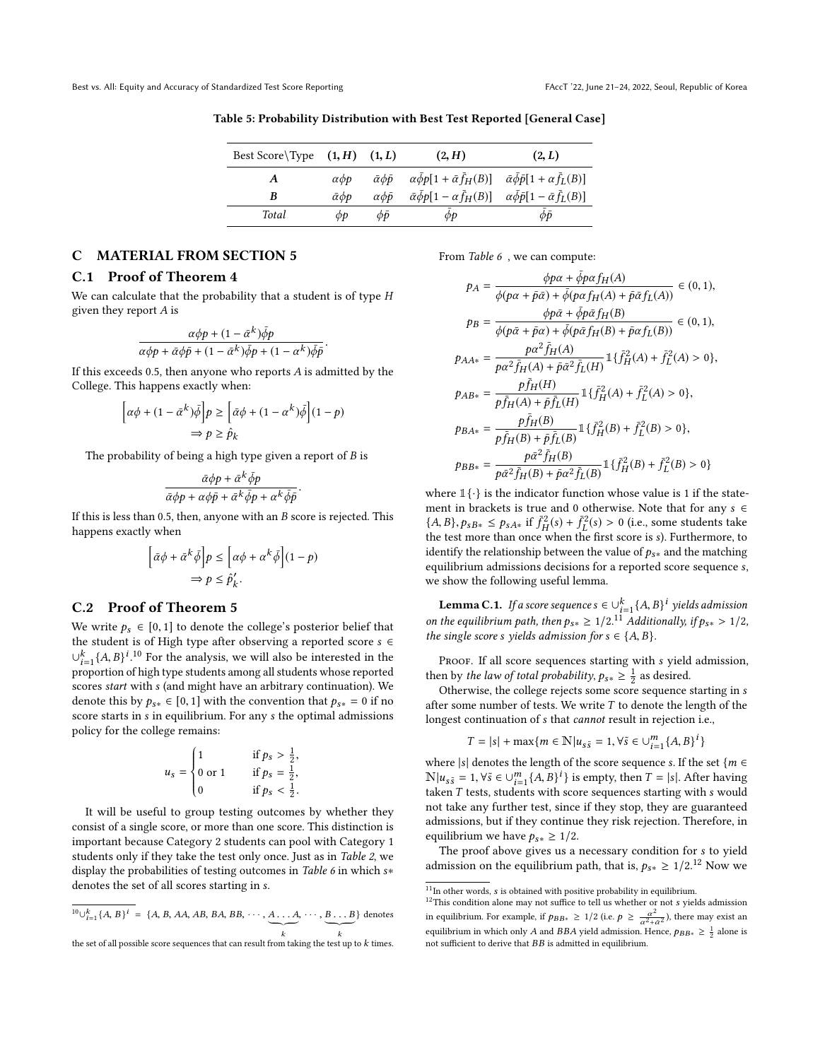<span id="page-10-0"></span>Table 5: Probability Distribution with Best Test Reported [General Case]

| Best Score\Type $(1, H)$ $(1, L)$ |                                            |                              | (2, H)                                                                                                    | (2, L)                                                |
|-----------------------------------|--------------------------------------------|------------------------------|-----------------------------------------------------------------------------------------------------------|-------------------------------------------------------|
| A                                 | $\alpha$ <i><math>\phi</math></i> $\alpha$ | $\bar{\alpha}\phi\bar{\rho}$ | $\alpha\bar{\phi}p[1+\bar{\alpha}\bar{f}_H(B)]$                                                           | $\bar{\alpha}\bar{\phi}\bar{p}[1+\alpha\bar{f}_L(B)]$ |
| B                                 | $\bar{\alpha}$ $\phi$ <i>p</i>             | $\alpha \phi \bar{p}$        | $\bar{\alpha}\bar{\phi}p[1-\alpha\bar{f}_H(B)] \quad \alpha\bar{\phi}\bar{p}[1-\bar{\alpha}\bar{f}_L(B)]$ |                                                       |
| Total                             | ФĐ                                         | $\phi \bar{\nu}$             | ФÞ                                                                                                        | фō                                                    |

# C MATERIAL FROM SECTION [5](#page-6-0)

#### C.1 Proof of Theorem [4](#page-6-3)

We can calculate that the probability that a student is of type H given they report A is

$$
\frac{\alpha \phi p+(1-\bar{\alpha}^k)\bar{\phi} p}{\alpha \phi p+\bar{\alpha} \phi \bar{p}+(1-\bar{\alpha}^k)\bar{\phi} p+(1-\alpha^k)\bar{\phi} \bar{p}}.
$$

If this exceeds 0.5, then anyone who reports  $A$  is admitted by the College. This happens exactly when:

$$
\left[\alpha\phi + (1 - \bar{\alpha}^k)\bar{\phi}\right]p \ge \left[\bar{\alpha}\phi + (1 - \alpha^k)\bar{\phi}\right](1 - p)
$$

$$
\Rightarrow p \ge \hat{p}_k
$$

The probability of being a high type given a report of  $B$  is

$$
\frac{\bar{\alpha}\phi p + \bar{\alpha}^k \bar{\phi} p}{\bar{\alpha}\phi p + \alpha\phi\bar{p} + \bar{\alpha}^k \bar{\phi} p + \alpha^k \bar{\phi}\bar{p}}
$$

If this is less than 0.5, then, anyone with an  $B$  score is rejected. This happens exactly when

$$
\left[\bar{\alpha}\phi + \bar{\alpha}^k\bar{\phi}\right]p \leq \left[\alpha\phi + \alpha^k\bar{\phi}\right](1-p)
$$

$$
\Rightarrow p \leq \hat{p}'_k.
$$

#### C.2 Proof of Theorem [5](#page-6-1)

We write  $p_s \in [0, 1]$  to denote the college's posterior belief that the student is of High type after observing a reported score  $s \in$  $\bigcup_{i=1}^{k} \{A, B\}^{i}$ .<sup>[10](#page-10-1)</sup> For the analysis, we will also be interested in the proportion of bigh type students among all students whose reported proportion of high type students among all students whose reported scores start with s (and might have an arbitrary continuation). We denote this by  $p_{s*} \in [0, 1]$  with the convention that  $p_{s*} = 0$  if no score starts in s in equilibrium. For any s the optimal admissions policy for the college remains:

$$
u_s = \begin{cases} 1 & \text{if } p_s > \frac{1}{2}, \\ 0 \text{ or } 1 & \text{if } p_s = \frac{1}{2}, \\ 0 & \text{if } p_s < \frac{1}{2}. \end{cases}
$$

 It will be useful to group testing outcomes by whether they consist of a single score, or more than one score. This distinction is important because Category 2 students can pool with Category 1 students only if they take the test only once. Just as in Table [2](#page-5-0), we display the probabilities of testing outcomes in Table [6](#page-11-0) in which s<sup>∗</sup> denotes the set of all scores starting in s.

<span id="page-10-1"></span>
$$
{}^{10}\bigcup_{i=1}^{k} \{A, B\}^{i} = \{A, B, AA, AB, BA, BB, \cdots, A, \cdots, B, \cdots, B\}
$$
 denotes  
the set of all possible scores sequences that can result from taking the text up to k times.

the set of all possible score sequences that can result from taking the test up to  $k$  times.

From Table [6](#page-11-0) , we can compute:

$$
p_{A} = \frac{\phi p \alpha + \bar{\phi} p \alpha f_{H}(A)}{\phi (p \alpha + \bar{p} \bar{\alpha}) + \bar{\phi} (p \alpha f_{H}(A) + \bar{p} \bar{\alpha} f_{L}(A))} \in (0, 1),
$$
  
\n
$$
p_{B} = \frac{\phi p \bar{\alpha} + \bar{\phi} p \bar{\alpha} f_{H}(B)}{\phi (p \bar{\alpha} + \bar{p} \alpha) + \bar{\phi} (p \bar{\alpha} f_{H}(B) + \bar{p} \alpha f_{L}(B))} \in (0, 1),
$$
  
\n
$$
p_{AA*} = \frac{p \alpha^{2} \bar{f}_{H}(A)}{p \alpha^{2} \bar{f}_{H}(A) + \bar{p} \bar{\alpha}^{2} \bar{f}_{L}(H)} \mathbb{1} {\{\bar{f}_{H}^{2}(A) + \bar{f}_{L}^{2}(A) > 0\}},
$$
  
\n
$$
p_{AB*} = \frac{p \bar{f}_{H}(H)}{p \bar{f}_{H}(A) + \bar{p} \bar{f}_{L}(H)} \mathbb{1} {\{\bar{f}_{H}^{2}(A) + \bar{f}_{L}^{2}(A) > 0\}},
$$
  
\n
$$
p_{BA*} = \frac{p \bar{f}_{H}(B)}{p \bar{f}_{H}(B) + \bar{p} \bar{f}_{L}(B)} \mathbb{1} {\{\bar{f}_{H}^{2}(B) + \bar{f}_{L}^{2}(B) > 0\}},
$$
  
\n
$$
p_{BB*} = \frac{p \bar{\alpha}^{2} \bar{f}_{H}(B)}{p \bar{\alpha}^{2} \bar{f}_{H}(B) + \bar{p} \alpha^{2} \bar{f}_{L}(B)} \mathbb{1} {\{\bar{f}_{H}^{2}(B) + \bar{f}_{L}^{2}(B) > 0\}}
$$
  
\nwhere  $\mathbb{1} \{\cdot\}$  is the indicator function whose value is 1 if the state-

ment in brackets is true and 0 otherwise. Note that for any  $s \in$  ${A, B}, p_{sB*} \le p_{sA*}$  if  $\bar{f}^2$ <br>the test more than once y  $\bar{f}_H^2(s) + \bar{f}_L^2$ <br>when the  $L^{52}(s) > 0$  (i.e., some students take the test more than once when the first score is s). Furthermore, to identify the relationship between the value of  $p_{s*}$  and the matching equilibrium admissions decisions for a reported score sequence s, we show the following useful lemma.

<span id="page-10-4"></span>**Lemma C.1.** If a score sequence  $s \in \bigcup_{i=1}^{k} \{A, B\}^i$  yields admission on the equilibrium path, then  $p_{s*} \ge 1/2$ .<sup>[11](#page-10-2)-</sup>Additionally, if  $p_{s*} > 1/2$ , the single score s yields admission for  $s \in I_4$ . B) the single score s yields admission for  $s \in \{A, B\}$ .

PROOF. If all score sequences starting with s yield admission, then by the law of total probability,  $p_{s*} \geq \frac{1}{2}$  as desired.<br>Otherwise, the college rejects some score sequence

Otherwise, the college rejects some score sequence starting in s after some number of tests. We write  $T$  to denote the length of the longest continuation of s that cannot result in rejection i.e.,

$$
T = |s| + \max\{m \in \mathbb{N} | u_{s\tilde{s}} = 1, \forall \tilde{s} \in \cup_{i=1}^{m} \{A, B\}^i\}
$$

where |s| denotes the length of the score sequence s. If the set { $m \in$  $\mathbb{N}|u_{s\tilde{s}} = 1, \forall \tilde{s} \in \bigcup_{i=1}^{m} \{A, B\}^i$  is empty, then  $T = |s|$ . After having taken T tests students with score sequences starting with s would taken T tests, students with score sequences starting with s would not take any further test, since if they stop, they are guaranteed admissions, but if they continue they risk rejection. Therefore, in equilibrium we have  $p_{s*} \geq 1/2$ .

The proof above gives us a necessary condition for s to yield admission on the equilibrium path, that is,  $p_{s*} \ge 1/2$ .<sup>[12](#page-10-3)</sup> Now we

<span id="page-10-2"></span> $11_{\hbox{In other words, } s$  is obtained with positive probability in equilibrium.

<span id="page-10-3"></span><sup>&</sup>lt;sup>12</sup>This condition alone may not suffice to tell us whether or not *s* yields admission in equilibrium. For example, if  $p_{BB*} \ge 1/2$  (i.e.  $p \ge \frac{\alpha^2}{\alpha^2 + \tilde{\alpha}^2}$ ), there may exist an equilibrium in which only A and BBA yield admission. Hence,  $p_{BB*} \geq \frac{1}{2}$  alone is not sufficient to derive that  ${\cal BB}$  is admitted in equilibrium.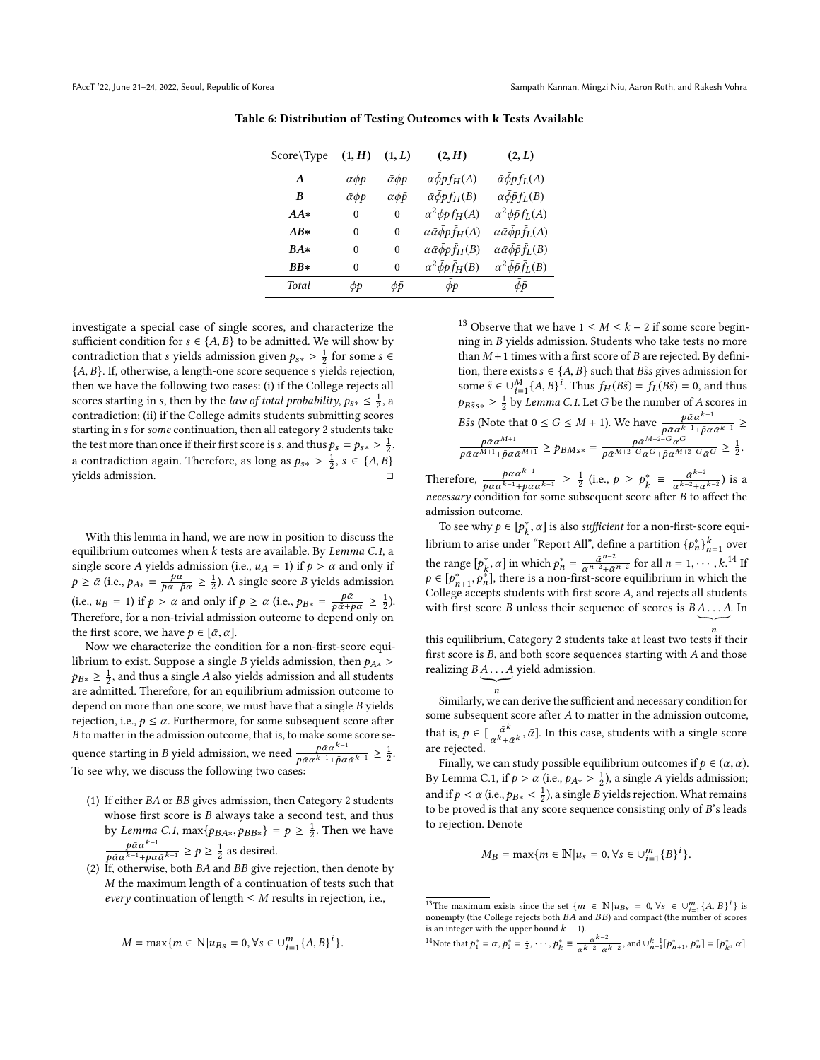| Score\Type | (1, H)                | (1, L)                      | (2, H)                                          | (2, L)                                                   |
|------------|-----------------------|-----------------------------|-------------------------------------------------|----------------------------------------------------------|
| A          | $\alpha\phi p$        | $\bar{\alpha} \phi \bar{p}$ | $\alpha \bar{\phi}$ <i>p</i> $f_H(A)$           | $\bar{\alpha}\bar{\phi}\bar{p}f_L(A)$                    |
| B          | $\bar{\alpha} \phi p$ | $\alpha \phi \bar{p}$       | $\bar{\alpha}\bar{\phi}pf_H(B)$                 | $\alpha \bar{\phi} \bar{p} f_L(B)$                       |
| $AA*$      | $\theta$              | $\theta$                    | $\alpha^2 \bar{\phi} p \bar{f}_H(A)$            | $\bar{\alpha}^2 \bar{\phi} \bar{p} \bar{f}_L(A)$         |
| $AB*$      | $\theta$              | $\theta$                    | $\alpha \bar{\alpha} \bar{\phi} p \bar{f}_H(A)$ | $\alpha \bar{\alpha} \bar{\phi} \bar{\rho} \bar{f}_L(A)$ |
| $BA*$      | $\theta$              | $\theta$                    | $\alpha \bar{\alpha} \bar{\phi} p \bar{f}$ H(B) | $\alpha \bar{\alpha} \bar{\phi} \bar{p} \bar{f}_{L}(B)$  |
| $BB*$      | $\theta$              | 0                           | $\bar{\alpha}^2 \bar{\phi} p \bar{f}_H(B)$      | $\alpha^2 \bar{\phi} \bar{p} \bar{f}_L(B)$               |
| Total      | фp                    | фō                          | $\phi p$                                        | $\phi \bar{p}$                                           |
|            |                       |                             |                                                 |                                                          |

<span id="page-11-0"></span>Table 6: Distribution of Testing Outcomes with k Tests Available

investigate a special case of single scores, and characterize the sufficient condition for  $s \in \{A, B\}$  to be admitted. We will show by contradiction that s yields admission given  $p_{S*} > \frac{1}{2}$  for some s ∈  $f_A$  R). If otherwise a length-one score sequence s vields rejection {A, <sup>B</sup>}. If, otherwise, a length-one score sequence s yields rejection, then we have the following two cases: (i) if the College rejects all scores starting in s, then by the *law of total probability*,  $p_{s*} \leq \frac{1}{2}$ , a contradiction: (ii) if the College admits students submitting scores contradiction; (ii) if the College admits students submitting scores starting in s for some continuation, then all category 2 students take the test more than once if their first score is s, and thus  $p_s = p_{s*} > \frac{1}{2}$ a contradiction again. Therefore, as long as  $p_{s*} > \frac{1}{2}$ ,  $s \in \{A, B\}$ yields admission. □

With this lemma in hand, we are now in position to discuss the equilibrium outcomes when  $k$  tests are available. By Lemma [C.1](#page-10-4), a single score A yields admission (i.e.,  $u_A = 1$ ) if  $p > \bar{\alpha}$  and only if  $p \ge \bar{\alpha}$  (i.e.,  $p_{A*} = \frac{p\alpha}{p\alpha + \bar{p}\bar{\alpha}} \ge \frac{1}{2}$ ). A single score B yields admission (i.e.,  $u_B = 1$ ) if  $p > \alpha$  and only if  $p \ge \alpha$  (i.e.,  $p_{B*} = \frac{p\bar{\alpha}}{p\bar{\alpha} + \bar{p}\alpha} \ge \frac{1}{2}$ ). Therefore, for a non-trivial admission outcome to depend only on the first score, we have  $p \in [\bar{\alpha}, \alpha]$ .

Now we characterize the condition for a non-first-score equilibrium to exist. Suppose a single B yields admission, then  $p_{A*}$  >  $p_{B*} \geq \frac{1}{2}$ , and thus a single A also yields admission and all students are admitted. Therefore, for an equilibrium admission outcome to depend on more than one score, we must have that a single B yields rejection, i.e.,  $p \leq \alpha$ . Furthermore, for some subsequent score after *B* to matter in the admission outcome, that is, to make some score se-B to matter in the admission outcome, that is, to make some score sequence starting in *B* yield admission, we need  $\frac{p\bar{\alpha}\alpha^{k-1}}{p\bar{\alpha}\alpha^{k-1}+\bar{p}\alpha}$  $\frac{p\bar{\alpha}\alpha^{k-1}}{p\bar{\alpha}\alpha^{k-1}+\bar{p}\alpha\bar{\alpha}^{k-1}} \geq \frac{1}{2}.$ To see why, we discuss the following two cases:

- (1) If either BA or BB gives admission, then Category 2 students whose first score is  $B$  always take a second test, and thus by Lemma [C.1](#page-10-4),  $\max\{p_{BA*}, p_{BB*}\} = p \ge \frac{1}{2}$ . Then we have  $p\bar{\alpha} \alpha^{k-1}$  $\frac{p\bar{\alpha}\alpha^{k-1}}{p\bar{\alpha}\alpha^{k-1}+\bar{p}\alpha\bar{\alpha}^{k-1}} \geq p \geq \frac{1}{2}$  as desired.
- (2) If, otherwise, both  $BA$  and  $BB$  give rejection, then denote by M the maximum length of a continuation of tests such that every continuation of length  $\leq M$  results in rejection, i.e.,

$$
M = \max\{m \in \mathbb{N} | u_{Bs} = 0, \forall s \in \bigcup_{i=1}^{m} \{A, B\}^i\}.
$$

<sup>[13](#page-11-1)</sup> Observe that we have  $1 \leq M \leq k - 2$  if some score beginning in B yields admission. Students who take tests no more than  $M+1$  times with a first score of  $B$  are rejected. By definition, there exists  $s \in \{A, B\}$  such that  $B\tilde{s}s$  gives admission for some  $\tilde{s} \in \bigcup_{i=1}^{M} \{A, B\}^i$ . Thus  $f_H(B\tilde{s}) = f_L(B\tilde{s}) = 0$ , and thus  $p_{B\tilde{s}s*} \geq \frac{1}{2}$  by *Lemma [C.1](#page-10-4)*. Let G be the number of A scores in  $p_{B\tilde{s}s*} \geq \frac{1}{2}$  by *Lemma C.1*. Let *G* be the number of *A* scores in Bss (Note that  $0 \le G \le M + 1$ ). We have  $\frac{p\bar{\alpha}\alpha^{k-1}}{p\bar{\alpha}\alpha^{k-1}+\bar{p}\alpha}$  $\frac{p\alpha\alpha^{n}}{p\bar{\alpha}\alpha^{k-1}+p\alpha\bar{\alpha}^{k-1}} \geq$  $\frac{p\bar{\alpha}\alpha^{M+1}}{p\bar{\alpha}\alpha^{M+1}+\bar{p}\alpha\bar{\alpha}^{M+1}} \geq p_{B M s*} = \frac{p\bar{\alpha}^{M+2-G}\alpha^G}{p\bar{\alpha}^{M+2-G}\alpha^G+\bar{p}\alpha^{M+2-G}\bar{\alpha}^G} \geq \frac{1}{2}.$ 

Therefore,  $-\frac{p\bar{\alpha}\alpha^{k-1}}{p}$  $\frac{p\bar{\alpha}\alpha^{k-1}}{p\bar{\alpha}\alpha^{k-1}+p\bar{\alpha}\bar{\alpha}^{k-1}} \geq \frac{1}{2}$  (i.e.,  $p \geq p_k^* \equiv \frac{\bar{\alpha}^{k-2}}{\alpha^{k-2}+\bar{\alpha}}$  $\frac{\bar{\alpha}^{k-2}}{\alpha^{k-2}+\bar{\alpha}^{k-2}}$ ) is a necessary condition for some subsequent score after B to affect the admission outcome.

To see why  $p \in [p_k^*, \alpha]$  is also sufficient for a non-first-score equilibrium to arise under "Report All", define a partition  $\{p_n^*\}_{n=1}^k$  over the range  $[p_k^*, \alpha]$  in which  $p_n^* = \frac{\bar{\alpha}^{n-2}}{\alpha^{n-2} + \bar{\alpha}}$  $\frac{\bar{\alpha}^{n-2}}{\alpha^{n-2}+\bar{\alpha}^{n-2}}$  for all  $n=1,\dots,k$ .<sup>[14](#page-11-2)</sup> If  $p \in [p_{n+1}^*, p_n^*]$ , there is a non-first-score equilibrium in which the<br>College accents students with first score 4, and rejects all students  $\text{Colleg } \text{accepts}$  students with first score A, and rejects all students with first score A and rejects all students with first score B unless their sequence of scores is  $B \underbrace{A \dots A}_{n}$ . In

this equilibrium, Category 2 students take at least two tests if their first score is  $B,$  and both score sequences starting with  $A$  and those realizing  $B\underbrace{A \dots A}_{n}$  yield admission.

n

 $n$ <br>Similarly, we can derive the sufficient and necessary condition for some subsequent score after A to matter in the admission outcome, that is,  $p \in \left[\frac{\bar{\alpha}^k}{\alpha^k + d}\right]$  $\frac{\tilde{\alpha}^k}{\alpha^k + \tilde{\alpha}^k}$ ,  $\tilde{\alpha}$ ]. In this case, students with a single score are rejected.

Finally, we can study possible equilibrium outcomes if  $p \in (\bar{\alpha}, \alpha)$ . By Lemma [C.1,](#page-10-4) if  $p > \bar{\alpha}$  (i.e.,  $p_{A*} > \frac{1}{2}$ ), a single A yields admission; and if  $p < \alpha$  (i.e.,  $p_{B*} < \frac{1}{2}$ ), a single B yields rejection. What remains to be proved is that any score sequence consisting only of B's leads to be proved is that any score sequence consisting only of B's leads to rejection. Denote

$$
M_B = \max\{m \in \mathbb{N} | u_s = 0, \forall s \in \cup_{i=1}^m \{B\}^i\}.
$$

```
<sup>14</sup>Note that p_1^* = \alpha, p_2^* = \frac{1}{2}, \dots, p_k^* = \frac{\alpha^{k-2}}{\alpha^{k-2} + \alpha^{k-2}}, and \cup_{n=1}^{k-1} [p_{n+1}^*, p_n^*] = [p_k^*, \alpha].
```
<span id="page-11-1"></span><sup>&</sup>lt;sup>13</sup>The maximum exists since the set  $\{m \in \mathbb{N} | u_{Bs} = 0, \forall s \in \cup_{i=1}^m \{A, B\}^i\}$  is nonempty (the College rejects both BA and BB) and compact (the number of scores nonempty (the College rejects both BA and BB) and compact (the number of scores is an integer with the upper bound  $k - 1$ ).